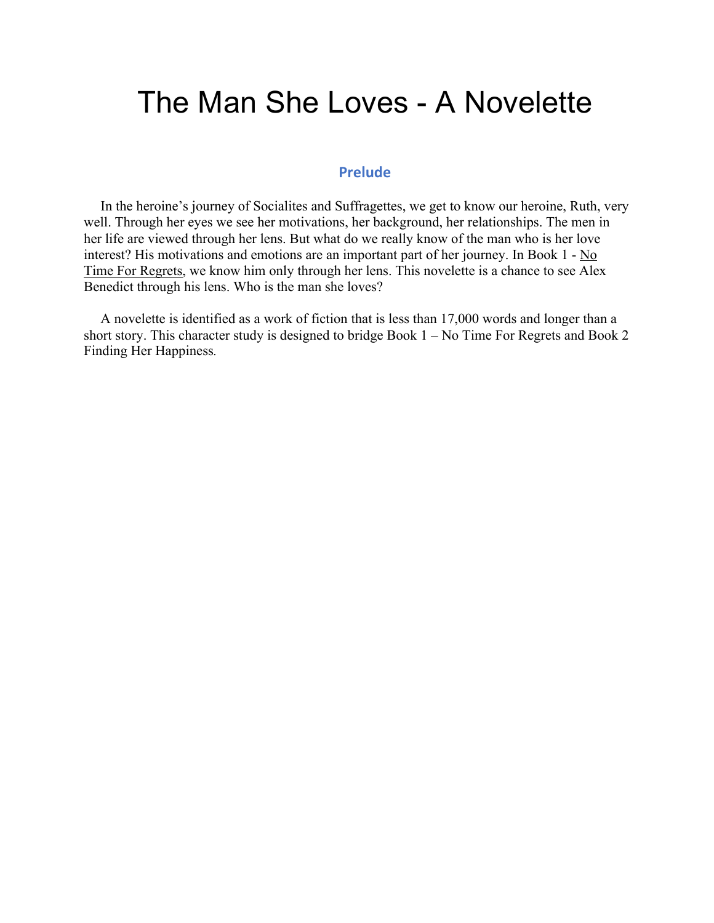# The Man She Loves - A Novelette

### **Prelude**

In the heroine's journey of Socialites and Suffragettes, we get to know our heroine, Ruth, very well. Through her eyes we see her motivations, her background, her relationships. The men in her life are viewed through her lens. But what do we really know of the man who is her love interest? His motivations and emotions are an important part of her journey. In Book  $1 - No$ Time For Regrets, we know him only through her lens. This novelette is a chance to see Alex Benedict through his lens. Who is the man she loves?

A novelette is identified as a work of fiction that is less than 17,000 words and longer than a short story. This character study is designed to bridge Book 1 – No Time For Regrets and Book 2 Finding Her Happiness*.*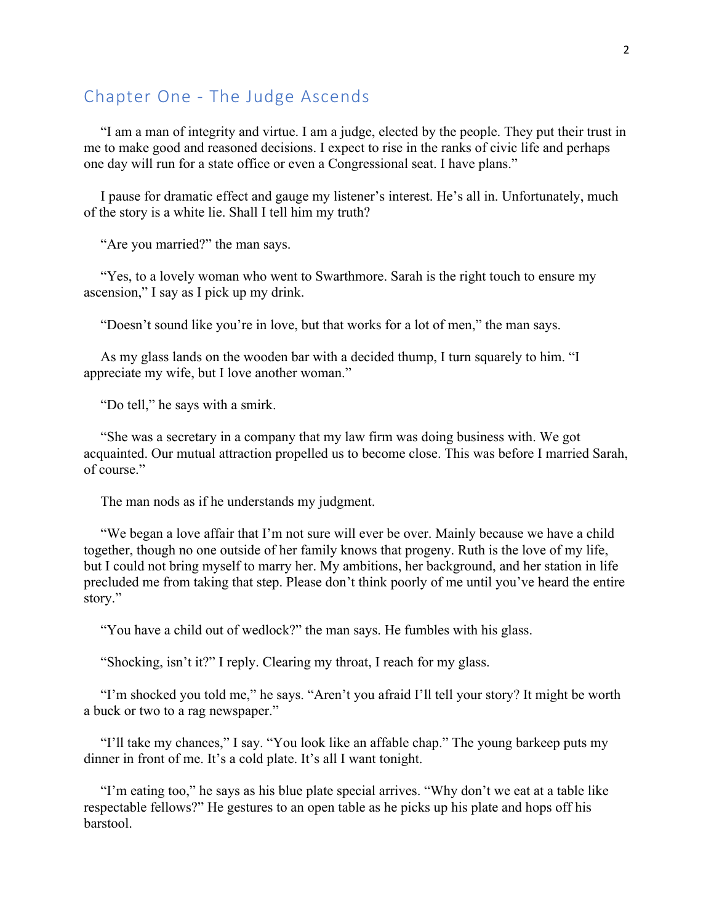## Chapter One - The Judge Ascends

"I am a man of integrity and virtue. I am a judge, elected by the people. They put their trust in me to make good and reasoned decisions. I expect to rise in the ranks of civic life and perhaps one day will run for a state office or even a Congressional seat. I have plans."

I pause for dramatic effect and gauge my listener's interest. He's all in. Unfortunately, much of the story is a white lie. Shall I tell him my truth?

"Are you married?" the man says.

"Yes, to a lovely woman who went to Swarthmore. Sarah is the right touch to ensure my ascension," I say as I pick up my drink.

"Doesn't sound like you're in love, but that works for a lot of men," the man says.

As my glass lands on the wooden bar with a decided thump, I turn squarely to him. "I appreciate my wife, but I love another woman."

"Do tell," he says with a smirk.

"She was a secretary in a company that my law firm was doing business with. We got acquainted. Our mutual attraction propelled us to become close. This was before I married Sarah, of course."

The man nods as if he understands my judgment.

"We began a love affair that I'm not sure will ever be over. Mainly because we have a child together, though no one outside of her family knows that progeny. Ruth is the love of my life, but I could not bring myself to marry her. My ambitions, her background, and her station in life precluded me from taking that step. Please don't think poorly of me until you've heard the entire story."

"You have a child out of wedlock?" the man says. He fumbles with his glass.

"Shocking, isn't it?" I reply. Clearing my throat, I reach for my glass.

"I'm shocked you told me," he says. "Aren't you afraid I'll tell your story? It might be worth a buck or two to a rag newspaper."

"I'll take my chances," I say. "You look like an affable chap." The young barkeep puts my dinner in front of me. It's a cold plate. It's all I want tonight.

"I'm eating too," he says as his blue plate special arrives. "Why don't we eat at a table like respectable fellows?" He gestures to an open table as he picks up his plate and hops off his barstool.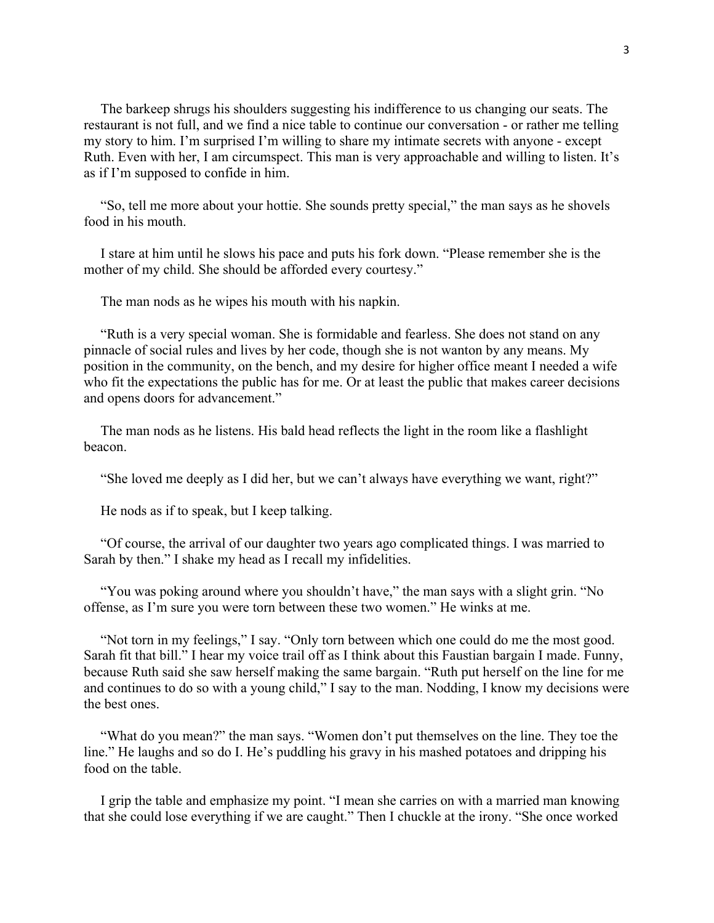The barkeep shrugs his shoulders suggesting his indifference to us changing our seats. The restaurant is not full, and we find a nice table to continue our conversation - or rather me telling my story to him. I'm surprised I'm willing to share my intimate secrets with anyone - except Ruth. Even with her, I am circumspect. This man is very approachable and willing to listen. It's as if I'm supposed to confide in him.

"So, tell me more about your hottie. She sounds pretty special," the man says as he shovels food in his mouth.

I stare at him until he slows his pace and puts his fork down. "Please remember she is the mother of my child. She should be afforded every courtesy."

The man nods as he wipes his mouth with his napkin.

"Ruth is a very special woman. She is formidable and fearless. She does not stand on any pinnacle of social rules and lives by her code, though she is not wanton by any means. My position in the community, on the bench, and my desire for higher office meant I needed a wife who fit the expectations the public has for me. Or at least the public that makes career decisions and opens doors for advancement."

The man nods as he listens. His bald head reflects the light in the room like a flashlight beacon.

"She loved me deeply as I did her, but we can't always have everything we want, right?"

He nods as if to speak, but I keep talking.

"Of course, the arrival of our daughter two years ago complicated things. I was married to Sarah by then." I shake my head as I recall my infidelities.

"You was poking around where you shouldn't have," the man says with a slight grin. "No offense, as I'm sure you were torn between these two women." He winks at me.

"Not torn in my feelings," I say. "Only torn between which one could do me the most good. Sarah fit that bill." I hear my voice trail off as I think about this Faustian bargain I made. Funny, because Ruth said she saw herself making the same bargain. "Ruth put herself on the line for me and continues to do so with a young child," I say to the man. Nodding, I know my decisions were the best ones.

"What do you mean?" the man says. "Women don't put themselves on the line. They toe the line." He laughs and so do I. He's puddling his gravy in his mashed potatoes and dripping his food on the table.

I grip the table and emphasize my point. "I mean she carries on with a married man knowing that she could lose everything if we are caught." Then I chuckle at the irony. "She once worked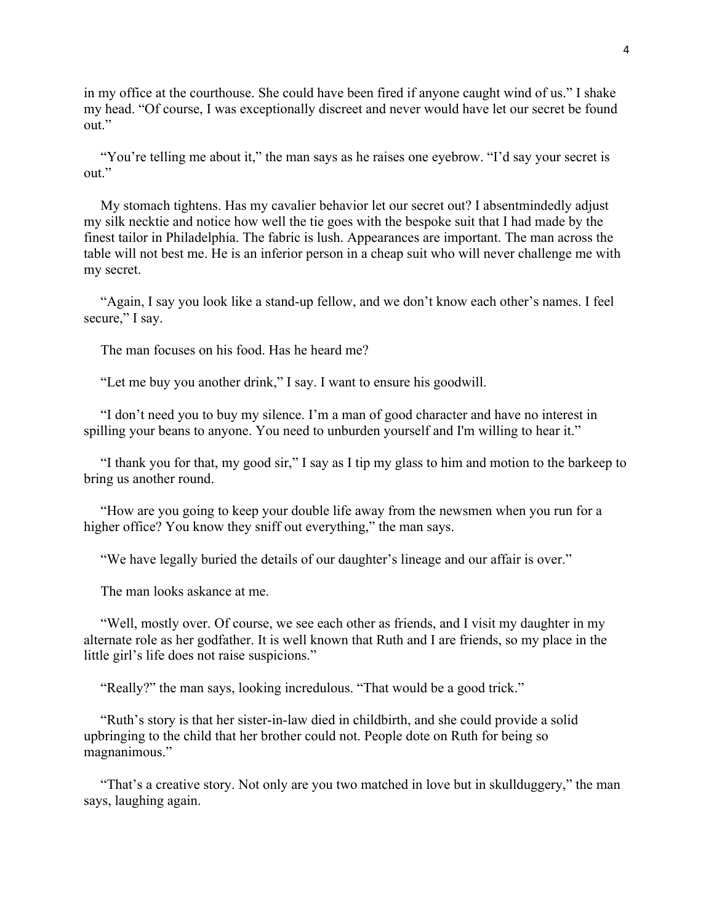in my office at the courthouse. She could have been fired if anyone caught wind of us." I shake my head. "Of course, I was exceptionally discreet and never would have let our secret be found out."

"You're telling me about it," the man says as he raises one eyebrow. "I'd say your secret is out."

My stomach tightens. Has my cavalier behavior let our secret out? I absentmindedly adjust my silk necktie and notice how well the tie goes with the bespoke suit that I had made by the finest tailor in Philadelphia. The fabric is lush. Appearances are important. The man across the table will not best me. He is an inferior person in a cheap suit who will never challenge me with my secret.

"Again, I say you look like a stand-up fellow, and we don't know each other's names. I feel secure," I say.

The man focuses on his food. Has he heard me?

"Let me buy you another drink," I say. I want to ensure his goodwill.

"I don't need you to buy my silence. I'm a man of good character and have no interest in spilling your beans to anyone. You need to unburden yourself and I'm willing to hear it."

"I thank you for that, my good sir," I say as I tip my glass to him and motion to the barkeep to bring us another round.

"How are you going to keep your double life away from the newsmen when you run for a higher office? You know they sniff out everything," the man says.

"We have legally buried the details of our daughter's lineage and our affair is over."

The man looks askance at me.

"Well, mostly over. Of course, we see each other as friends, and I visit my daughter in my alternate role as her godfather. It is well known that Ruth and I are friends, so my place in the little girl's life does not raise suspicions."

"Really?" the man says, looking incredulous. "That would be a good trick."

"Ruth's story is that her sister-in-law died in childbirth, and she could provide a solid upbringing to the child that her brother could not. People dote on Ruth for being so magnanimous."

"That's a creative story. Not only are you two matched in love but in skullduggery," the man says, laughing again.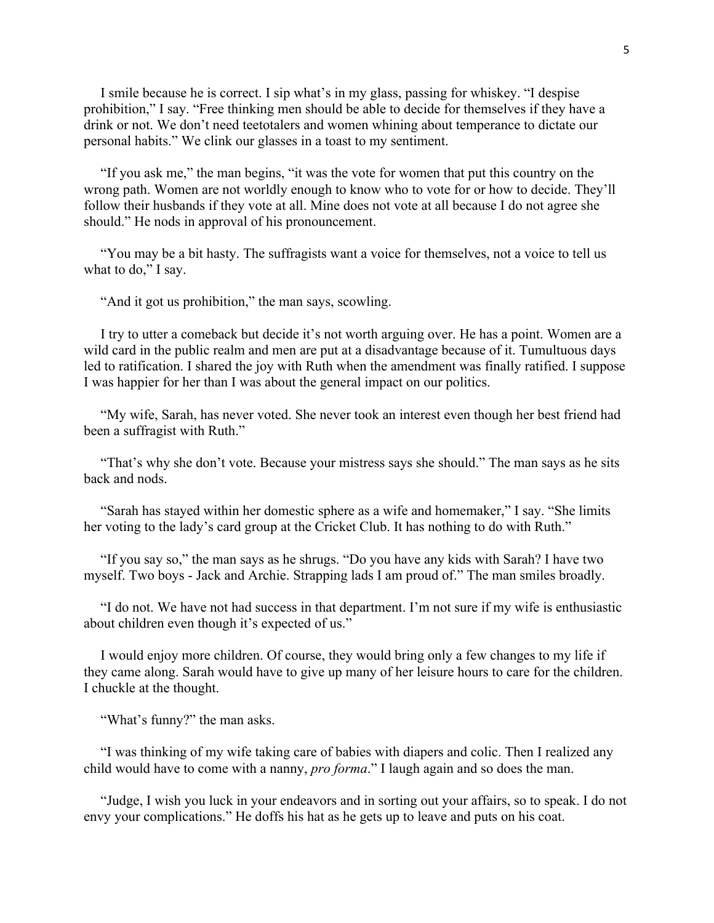I smile because he is correct. I sip what's in my glass, passing for whiskey. "I despise prohibition," I say. "Free thinking men should be able to decide for themselves if they have a drink or not. We don't need teetotalers and women whining about temperance to dictate our personal habits." We clink our glasses in a toast to my sentiment.

"If you ask me," the man begins, "it was the vote for women that put this country on the wrong path. Women are not worldly enough to know who to vote for or how to decide. They'll follow their husbands if they vote at all. Mine does not vote at all because I do not agree she should." He nods in approval of his pronouncement.

"You may be a bit hasty. The suffragists want a voice for themselves, not a voice to tell us what to do," I say.

"And it got us prohibition," the man says, scowling.

I try to utter a comeback but decide it's not worth arguing over. He has a point. Women are a wild card in the public realm and men are put at a disadvantage because of it. Tumultuous days led to ratification. I shared the joy with Ruth when the amendment was finally ratified. I suppose I was happier for her than I was about the general impact on our politics.

"My wife, Sarah, has never voted. She never took an interest even though her best friend had been a suffragist with Ruth."

"That's why she don't vote. Because your mistress says she should." The man says as he sits back and nods.

"Sarah has stayed within her domestic sphere as a wife and homemaker," I say. "She limits her voting to the lady's card group at the Cricket Club. It has nothing to do with Ruth."

"If you say so," the man says as he shrugs. "Do you have any kids with Sarah? I have two myself. Two boys - Jack and Archie. Strapping lads I am proud of." The man smiles broadly.

"I do not. We have not had success in that department. I'm not sure if my wife is enthusiastic about children even though it's expected of us."

I would enjoy more children. Of course, they would bring only a few changes to my life if they came along. Sarah would have to give up many of her leisure hours to care for the children. I chuckle at the thought.

"What's funny?" the man asks.

"I was thinking of my wife taking care of babies with diapers and colic. Then I realized any child would have to come with a nanny, *pro forma*." I laugh again and so does the man.

"Judge, I wish you luck in your endeavors and in sorting out your affairs, so to speak. I do not envy your complications." He doffs his hat as he gets up to leave and puts on his coat.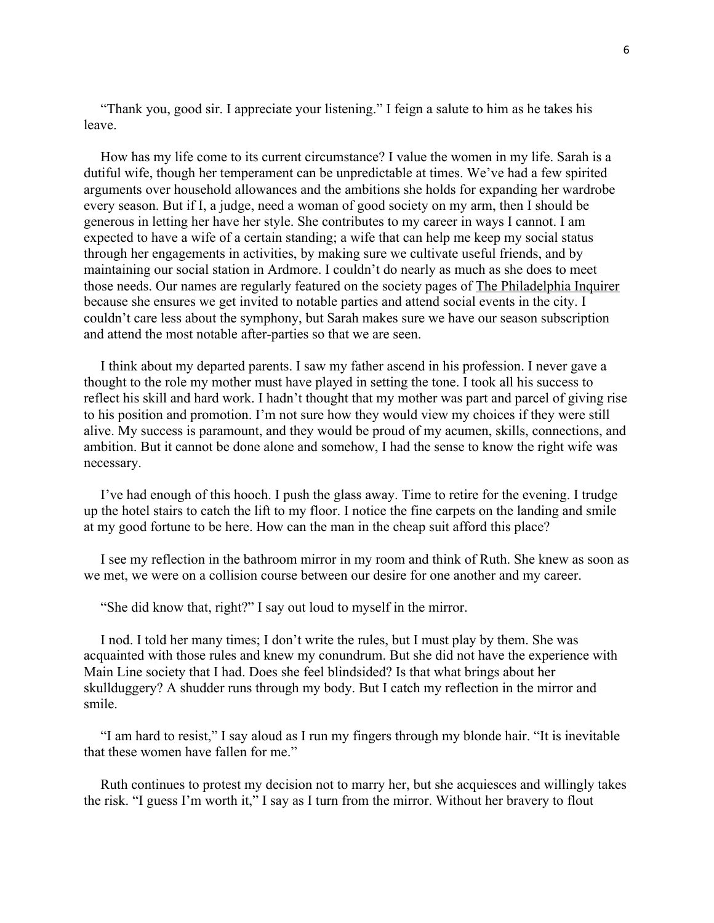"Thank you, good sir. I appreciate your listening." I feign a salute to him as he takes his leave.

How has my life come to its current circumstance? I value the women in my life. Sarah is a dutiful wife, though her temperament can be unpredictable at times. We've had a few spirited arguments over household allowances and the ambitions she holds for expanding her wardrobe every season. But if I, a judge, need a woman of good society on my arm, then I should be generous in letting her have her style. She contributes to my career in ways I cannot. I am expected to have a wife of a certain standing; a wife that can help me keep my social status through her engagements in activities, by making sure we cultivate useful friends, and by maintaining our social station in Ardmore. I couldn't do nearly as much as she does to meet those needs. Our names are regularly featured on the society pages of The Philadelphia Inquirer because she ensures we get invited to notable parties and attend social events in the city. I couldn't care less about the symphony, but Sarah makes sure we have our season subscription and attend the most notable after-parties so that we are seen.

I think about my departed parents. I saw my father ascend in his profession. I never gave a thought to the role my mother must have played in setting the tone. I took all his success to reflect his skill and hard work. I hadn't thought that my mother was part and parcel of giving rise to his position and promotion. I'm not sure how they would view my choices if they were still alive. My success is paramount, and they would be proud of my acumen, skills, connections, and ambition. But it cannot be done alone and somehow, I had the sense to know the right wife was necessary.

I've had enough of this hooch. I push the glass away. Time to retire for the evening. I trudge up the hotel stairs to catch the lift to my floor. I notice the fine carpets on the landing and smile at my good fortune to be here. How can the man in the cheap suit afford this place?

I see my reflection in the bathroom mirror in my room and think of Ruth. She knew as soon as we met, we were on a collision course between our desire for one another and my career.

"She did know that, right?" I say out loud to myself in the mirror.

I nod. I told her many times; I don't write the rules, but I must play by them. She was acquainted with those rules and knew my conundrum. But she did not have the experience with Main Line society that I had. Does she feel blindsided? Is that what brings about her skullduggery? A shudder runs through my body. But I catch my reflection in the mirror and smile.

"I am hard to resist," I say aloud as I run my fingers through my blonde hair. "It is inevitable that these women have fallen for me."

Ruth continues to protest my decision not to marry her, but she acquiesces and willingly takes the risk. "I guess I'm worth it," I say as I turn from the mirror. Without her bravery to flout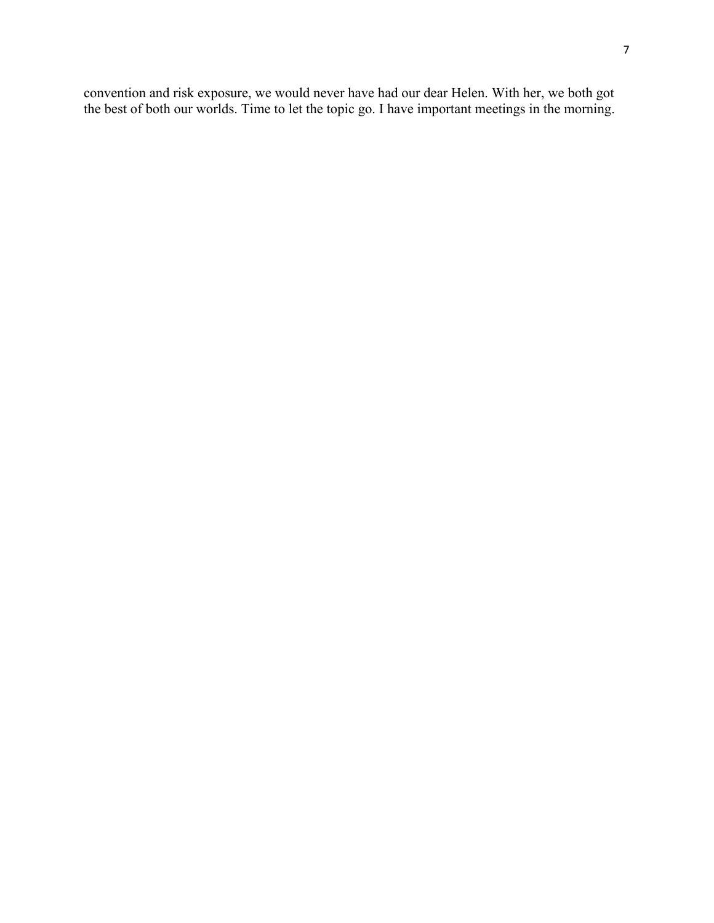convention and risk exposure, we would never have had our dear Helen. With her, we both got the best of both our worlds. Time to let the topic go. I have important meetings in the morning.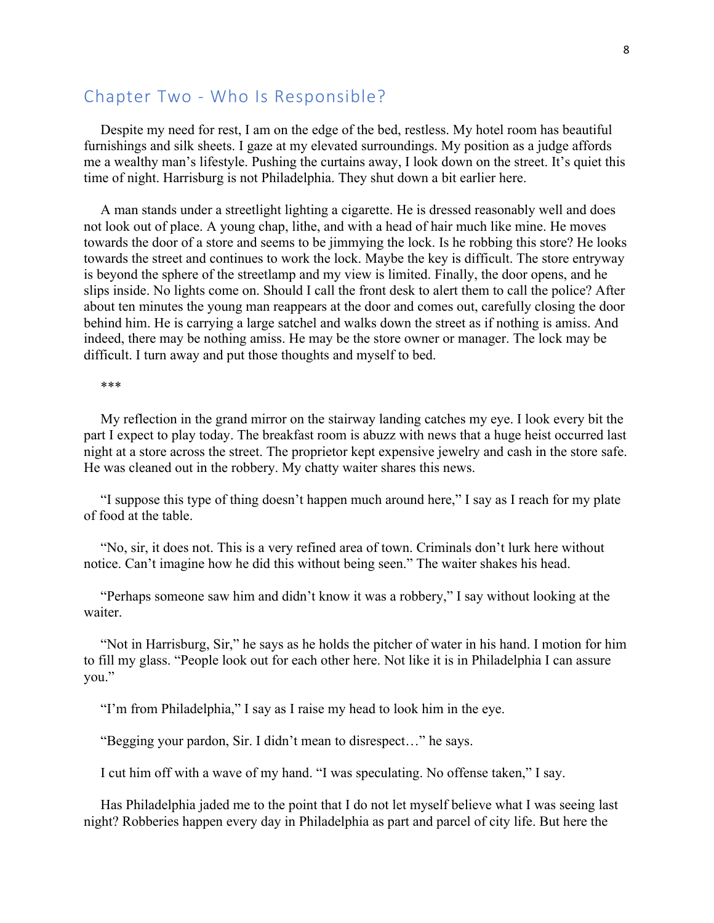## Chapter Two - Who Is Responsible?

Despite my need for rest, I am on the edge of the bed, restless. My hotel room has beautiful furnishings and silk sheets. I gaze at my elevated surroundings. My position as a judge affords me a wealthy man's lifestyle. Pushing the curtains away, I look down on the street. It's quiet this time of night. Harrisburg is not Philadelphia. They shut down a bit earlier here.

A man stands under a streetlight lighting a cigarette. He is dressed reasonably well and does not look out of place. A young chap, lithe, and with a head of hair much like mine. He moves towards the door of a store and seems to be jimmying the lock. Is he robbing this store? He looks towards the street and continues to work the lock. Maybe the key is difficult. The store entryway is beyond the sphere of the streetlamp and my view is limited. Finally, the door opens, and he slips inside. No lights come on. Should I call the front desk to alert them to call the police? After about ten minutes the young man reappears at the door and comes out, carefully closing the door behind him. He is carrying a large satchel and walks down the street as if nothing is amiss. And indeed, there may be nothing amiss. He may be the store owner or manager. The lock may be difficult. I turn away and put those thoughts and myself to bed.

\*\*\*

My reflection in the grand mirror on the stairway landing catches my eye. I look every bit the part I expect to play today. The breakfast room is abuzz with news that a huge heist occurred last night at a store across the street. The proprietor kept expensive jewelry and cash in the store safe. He was cleaned out in the robbery. My chatty waiter shares this news.

"I suppose this type of thing doesn't happen much around here," I say as I reach for my plate of food at the table.

"No, sir, it does not. This is a very refined area of town. Criminals don't lurk here without notice. Can't imagine how he did this without being seen." The waiter shakes his head.

"Perhaps someone saw him and didn't know it was a robbery," I say without looking at the waiter.

"Not in Harrisburg, Sir," he says as he holds the pitcher of water in his hand. I motion for him to fill my glass. "People look out for each other here. Not like it is in Philadelphia I can assure you."

"I'm from Philadelphia," I say as I raise my head to look him in the eye.

"Begging your pardon, Sir. I didn't mean to disrespect…" he says.

I cut him off with a wave of my hand. "I was speculating. No offense taken," I say.

Has Philadelphia jaded me to the point that I do not let myself believe what I was seeing last night? Robberies happen every day in Philadelphia as part and parcel of city life. But here the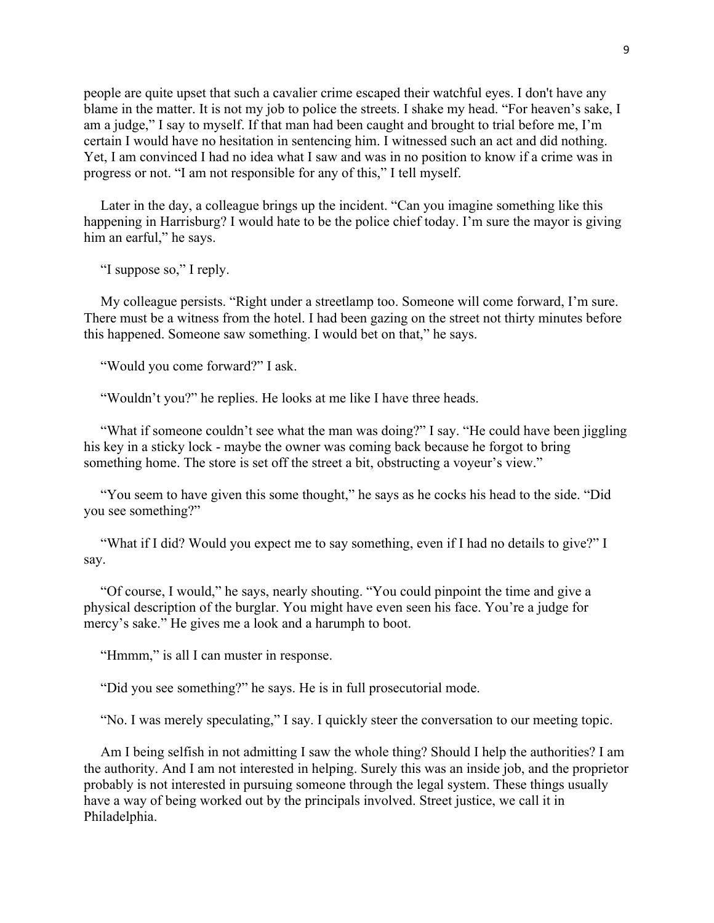people are quite upset that such a cavalier crime escaped their watchful eyes. I don't have any blame in the matter. It is not my job to police the streets. I shake my head. "For heaven's sake, I am a judge," I say to myself. If that man had been caught and brought to trial before me, I'm certain I would have no hesitation in sentencing him. I witnessed such an act and did nothing. Yet, I am convinced I had no idea what I saw and was in no position to know if a crime was in progress or not. "I am not responsible for any of this," I tell myself.

Later in the day, a colleague brings up the incident. "Can you imagine something like this happening in Harrisburg? I would hate to be the police chief today. I'm sure the mayor is giving him an earful," he says.

"I suppose so," I reply.

My colleague persists. "Right under a streetlamp too. Someone will come forward, I'm sure. There must be a witness from the hotel. I had been gazing on the street not thirty minutes before this happened. Someone saw something. I would bet on that," he says.

"Would you come forward?" I ask.

"Wouldn't you?" he replies. He looks at me like I have three heads.

"What if someone couldn't see what the man was doing?" I say. "He could have been jiggling his key in a sticky lock - maybe the owner was coming back because he forgot to bring something home. The store is set off the street a bit, obstructing a voyeur's view."

"You seem to have given this some thought," he says as he cocks his head to the side. "Did you see something?"

"What if I did? Would you expect me to say something, even if I had no details to give?" I say.

"Of course, I would," he says, nearly shouting. "You could pinpoint the time and give a physical description of the burglar. You might have even seen his face. You're a judge for mercy's sake." He gives me a look and a harumph to boot.

"Hmmm," is all I can muster in response.

"Did you see something?" he says. He is in full prosecutorial mode.

"No. I was merely speculating," I say. I quickly steer the conversation to our meeting topic.

Am I being selfish in not admitting I saw the whole thing? Should I help the authorities? I am the authority. And I am not interested in helping. Surely this was an inside job, and the proprietor probably is not interested in pursuing someone through the legal system. These things usually have a way of being worked out by the principals involved. Street justice, we call it in Philadelphia.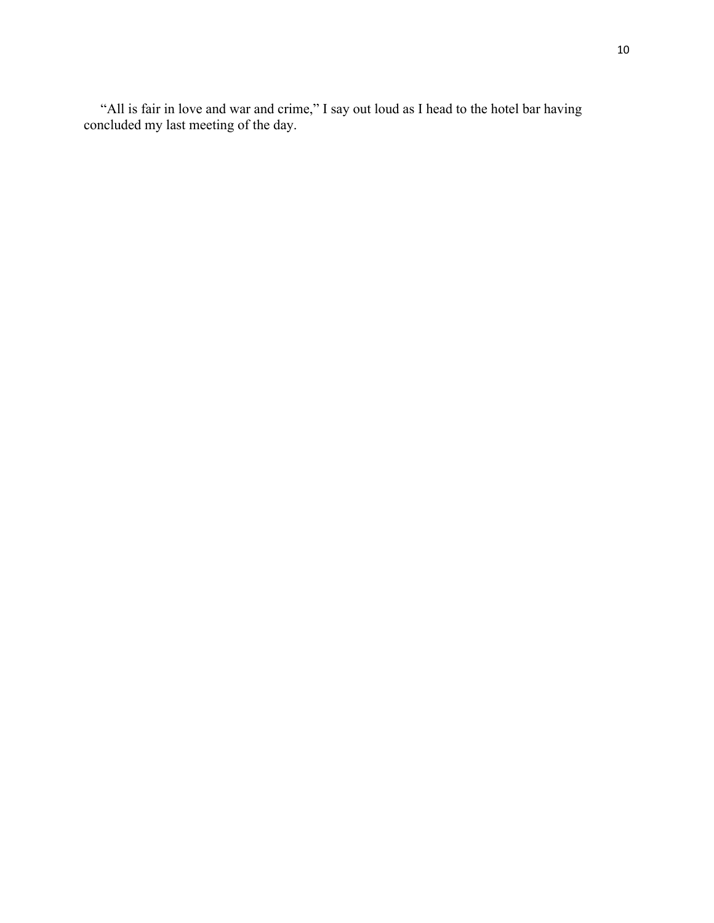"All is fair in love and war and crime," I say out loud as I head to the hotel bar having concluded my last meeting of the day.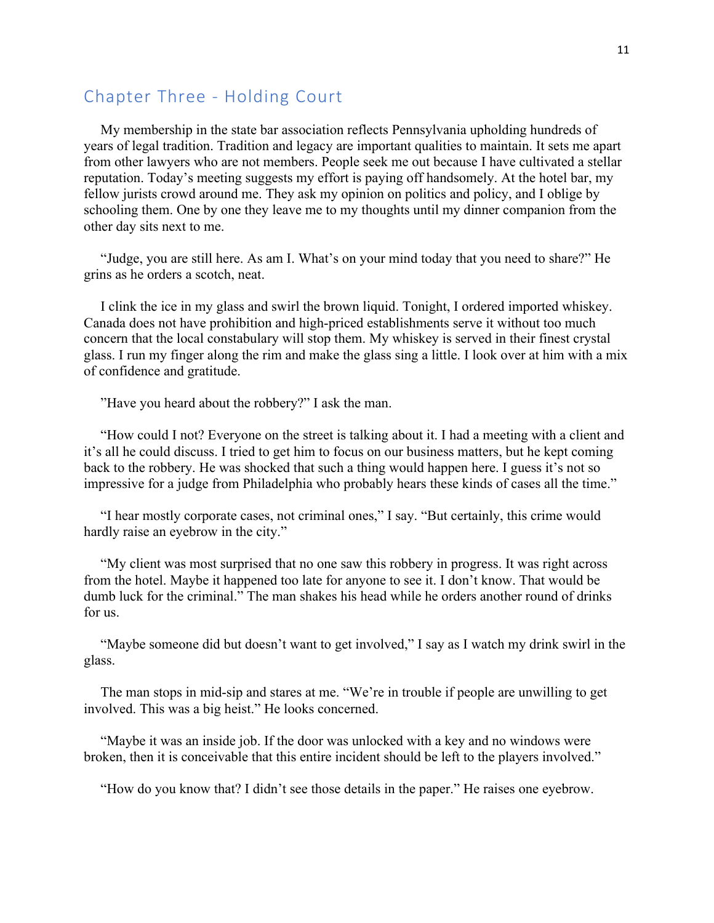## Chapter Three - Holding Court

My membership in the state bar association reflects Pennsylvania upholding hundreds of years of legal tradition. Tradition and legacy are important qualities to maintain. It sets me apart from other lawyers who are not members. People seek me out because I have cultivated a stellar reputation. Today's meeting suggests my effort is paying off handsomely. At the hotel bar, my fellow jurists crowd around me. They ask my opinion on politics and policy, and I oblige by schooling them. One by one they leave me to my thoughts until my dinner companion from the other day sits next to me.

"Judge, you are still here. As am I. What's on your mind today that you need to share?" He grins as he orders a scotch, neat.

I clink the ice in my glass and swirl the brown liquid. Tonight, I ordered imported whiskey. Canada does not have prohibition and high-priced establishments serve it without too much concern that the local constabulary will stop them. My whiskey is served in their finest crystal glass. I run my finger along the rim and make the glass sing a little. I look over at him with a mix of confidence and gratitude.

"Have you heard about the robbery?" I ask the man.

"How could I not? Everyone on the street is talking about it. I had a meeting with a client and it's all he could discuss. I tried to get him to focus on our business matters, but he kept coming back to the robbery. He was shocked that such a thing would happen here. I guess it's not so impressive for a judge from Philadelphia who probably hears these kinds of cases all the time."

"I hear mostly corporate cases, not criminal ones," I say. "But certainly, this crime would hardly raise an eyebrow in the city."

"My client was most surprised that no one saw this robbery in progress. It was right across from the hotel. Maybe it happened too late for anyone to see it. I don't know. That would be dumb luck for the criminal." The man shakes his head while he orders another round of drinks for us.

"Maybe someone did but doesn't want to get involved," I say as I watch my drink swirl in the glass.

The man stops in mid-sip and stares at me. "We're in trouble if people are unwilling to get involved. This was a big heist." He looks concerned.

"Maybe it was an inside job. If the door was unlocked with a key and no windows were broken, then it is conceivable that this entire incident should be left to the players involved."

"How do you know that? I didn't see those details in the paper." He raises one eyebrow.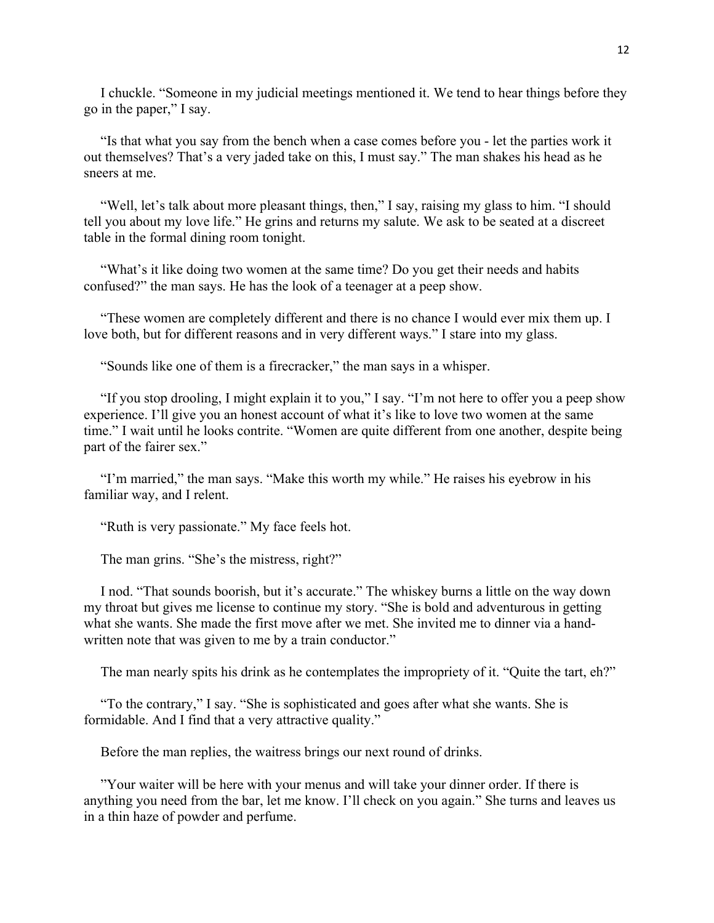I chuckle. "Someone in my judicial meetings mentioned it. We tend to hear things before they go in the paper," I say.

"Is that what you say from the bench when a case comes before you - let the parties work it out themselves? That's a very jaded take on this, I must say." The man shakes his head as he sneers at me.

"Well, let's talk about more pleasant things, then," I say, raising my glass to him. "I should tell you about my love life." He grins and returns my salute. We ask to be seated at a discreet table in the formal dining room tonight.

"What's it like doing two women at the same time? Do you get their needs and habits confused?" the man says. He has the look of a teenager at a peep show.

"These women are completely different and there is no chance I would ever mix them up. I love both, but for different reasons and in very different ways." I stare into my glass.

"Sounds like one of them is a firecracker," the man says in a whisper.

"If you stop drooling, I might explain it to you," I say. "I'm not here to offer you a peep show experience. I'll give you an honest account of what it's like to love two women at the same time." I wait until he looks contrite. "Women are quite different from one another, despite being part of the fairer sex."

"I'm married," the man says. "Make this worth my while." He raises his eyebrow in his familiar way, and I relent.

"Ruth is very passionate." My face feels hot.

The man grins. "She's the mistress, right?"

I nod. "That sounds boorish, but it's accurate." The whiskey burns a little on the way down my throat but gives me license to continue my story. "She is bold and adventurous in getting what she wants. She made the first move after we met. She invited me to dinner via a handwritten note that was given to me by a train conductor."

The man nearly spits his drink as he contemplates the impropriety of it. "Quite the tart, eh?"

"To the contrary," I say. "She is sophisticated and goes after what she wants. She is formidable. And I find that a very attractive quality."

Before the man replies, the waitress brings our next round of drinks.

"Your waiter will be here with your menus and will take your dinner order. If there is anything you need from the bar, let me know. I'll check on you again." She turns and leaves us in a thin haze of powder and perfume.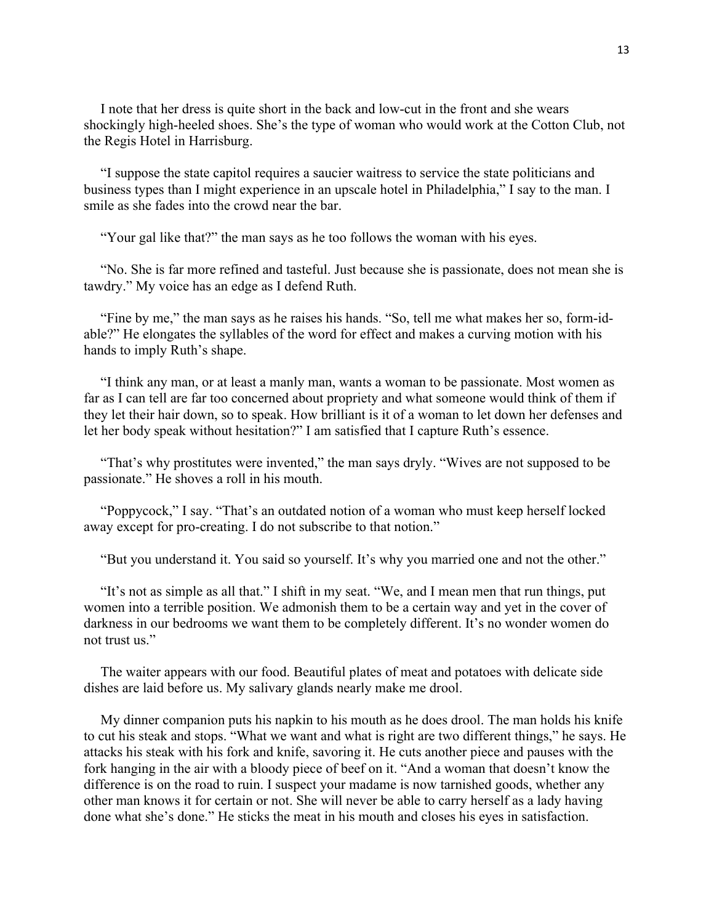I note that her dress is quite short in the back and low-cut in the front and she wears shockingly high-heeled shoes. She's the type of woman who would work at the Cotton Club, not the Regis Hotel in Harrisburg.

"I suppose the state capitol requires a saucier waitress to service the state politicians and business types than I might experience in an upscale hotel in Philadelphia," I say to the man. I smile as she fades into the crowd near the bar.

"Your gal like that?" the man says as he too follows the woman with his eyes.

"No. She is far more refined and tasteful. Just because she is passionate, does not mean she is tawdry." My voice has an edge as I defend Ruth.

"Fine by me," the man says as he raises his hands. "So, tell me what makes her so, form-idable?" He elongates the syllables of the word for effect and makes a curving motion with his hands to imply Ruth's shape.

"I think any man, or at least a manly man, wants a woman to be passionate. Most women as far as I can tell are far too concerned about propriety and what someone would think of them if they let their hair down, so to speak. How brilliant is it of a woman to let down her defenses and let her body speak without hesitation?" I am satisfied that I capture Ruth's essence.

"That's why prostitutes were invented," the man says dryly. "Wives are not supposed to be passionate." He shoves a roll in his mouth.

"Poppycock," I say. "That's an outdated notion of a woman who must keep herself locked away except for pro-creating. I do not subscribe to that notion."

"But you understand it. You said so yourself. It's why you married one and not the other."

"It's not as simple as all that." I shift in my seat. "We, and I mean men that run things, put women into a terrible position. We admonish them to be a certain way and yet in the cover of darkness in our bedrooms we want them to be completely different. It's no wonder women do not trust us."

The waiter appears with our food. Beautiful plates of meat and potatoes with delicate side dishes are laid before us. My salivary glands nearly make me drool.

My dinner companion puts his napkin to his mouth as he does drool. The man holds his knife to cut his steak and stops. "What we want and what is right are two different things," he says. He attacks his steak with his fork and knife, savoring it. He cuts another piece and pauses with the fork hanging in the air with a bloody piece of beef on it. "And a woman that doesn't know the difference is on the road to ruin. I suspect your madame is now tarnished goods, whether any other man knows it for certain or not. She will never be able to carry herself as a lady having done what she's done." He sticks the meat in his mouth and closes his eyes in satisfaction.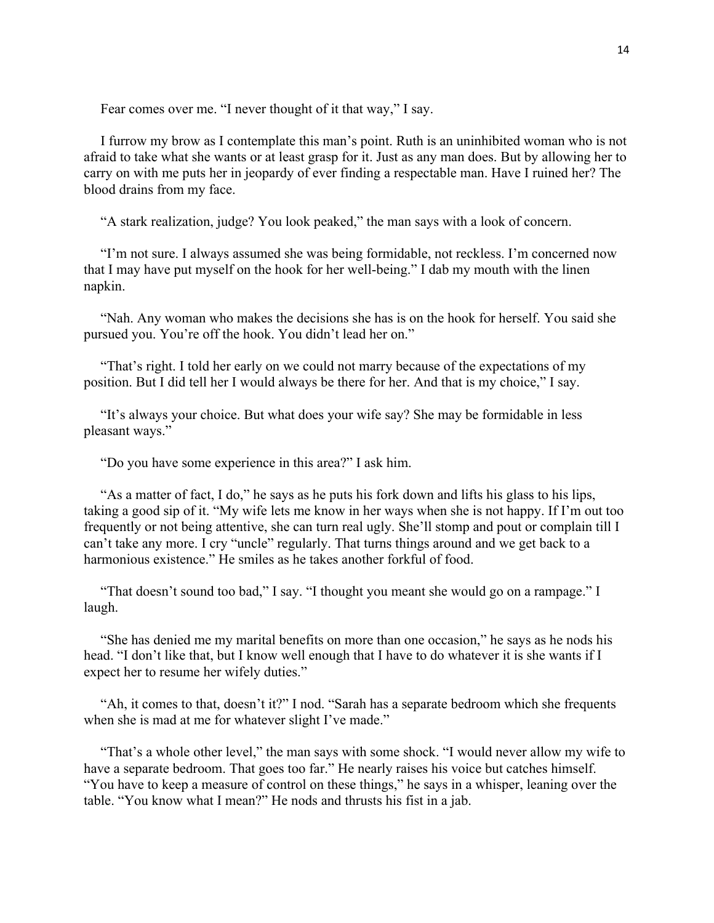Fear comes over me. "I never thought of it that way," I say.

I furrow my brow as I contemplate this man's point. Ruth is an uninhibited woman who is not afraid to take what she wants or at least grasp for it. Just as any man does. But by allowing her to carry on with me puts her in jeopardy of ever finding a respectable man. Have I ruined her? The blood drains from my face.

"A stark realization, judge? You look peaked," the man says with a look of concern.

"I'm not sure. I always assumed she was being formidable, not reckless. I'm concerned now that I may have put myself on the hook for her well-being." I dab my mouth with the linen napkin.

"Nah. Any woman who makes the decisions she has is on the hook for herself. You said she pursued you. You're off the hook. You didn't lead her on."

"That's right. I told her early on we could not marry because of the expectations of my position. But I did tell her I would always be there for her. And that is my choice," I say.

"It's always your choice. But what does your wife say? She may be formidable in less pleasant ways."

"Do you have some experience in this area?" I ask him.

"As a matter of fact, I do," he says as he puts his fork down and lifts his glass to his lips, taking a good sip of it. "My wife lets me know in her ways when she is not happy. If I'm out too frequently or not being attentive, she can turn real ugly. She'll stomp and pout or complain till I can't take any more. I cry "uncle" regularly. That turns things around and we get back to a harmonious existence." He smiles as he takes another forkful of food.

"That doesn't sound too bad," I say. "I thought you meant she would go on a rampage." I laugh.

"She has denied me my marital benefits on more than one occasion," he says as he nods his head. "I don't like that, but I know well enough that I have to do whatever it is she wants if I expect her to resume her wifely duties."

"Ah, it comes to that, doesn't it?" I nod. "Sarah has a separate bedroom which she frequents when she is mad at me for whatever slight I've made."

"That's a whole other level," the man says with some shock. "I would never allow my wife to have a separate bedroom. That goes too far." He nearly raises his voice but catches himself. "You have to keep a measure of control on these things," he says in a whisper, leaning over the table. "You know what I mean?" He nods and thrusts his fist in a jab.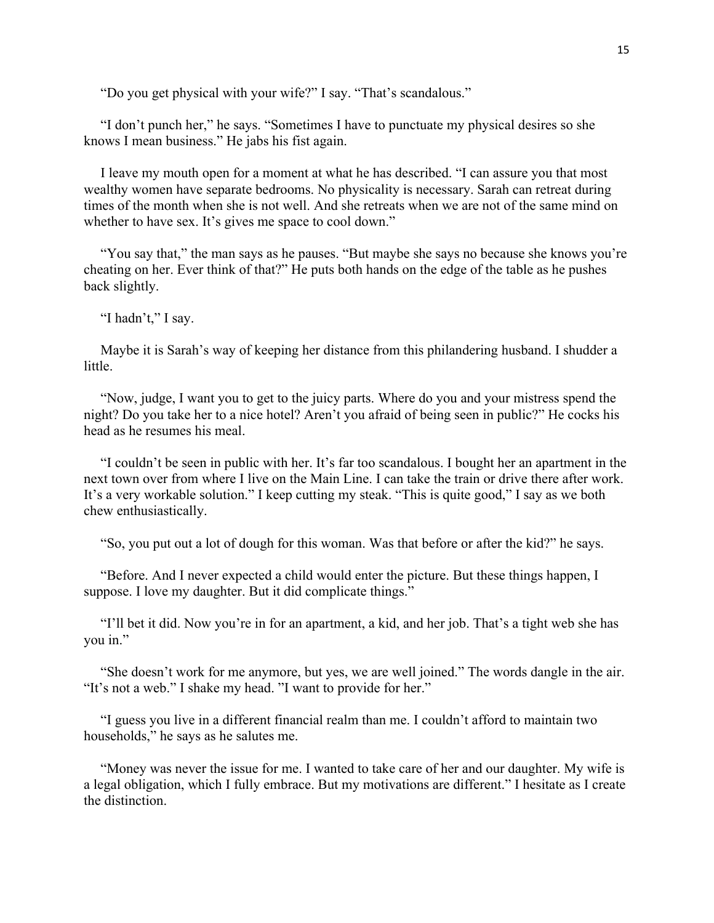"Do you get physical with your wife?" I say. "That's scandalous."

"I don't punch her," he says. "Sometimes I have to punctuate my physical desires so she knows I mean business." He jabs his fist again.

I leave my mouth open for a moment at what he has described. "I can assure you that most wealthy women have separate bedrooms. No physicality is necessary. Sarah can retreat during times of the month when she is not well. And she retreats when we are not of the same mind on whether to have sex. It's gives me space to cool down."

"You say that," the man says as he pauses. "But maybe she says no because she knows you're cheating on her. Ever think of that?" He puts both hands on the edge of the table as he pushes back slightly.

"I hadn't," I say.

Maybe it is Sarah's way of keeping her distance from this philandering husband. I shudder a little.

"Now, judge, I want you to get to the juicy parts. Where do you and your mistress spend the night? Do you take her to a nice hotel? Aren't you afraid of being seen in public?" He cocks his head as he resumes his meal.

"I couldn't be seen in public with her. It's far too scandalous. I bought her an apartment in the next town over from where I live on the Main Line. I can take the train or drive there after work. It's a very workable solution." I keep cutting my steak. "This is quite good," I say as we both chew enthusiastically.

"So, you put out a lot of dough for this woman. Was that before or after the kid?" he says.

"Before. And I never expected a child would enter the picture. But these things happen, I suppose. I love my daughter. But it did complicate things."

"I'll bet it did. Now you're in for an apartment, a kid, and her job. That's a tight web she has you in."

"She doesn't work for me anymore, but yes, we are well joined." The words dangle in the air. "It's not a web." I shake my head. "I want to provide for her."

"I guess you live in a different financial realm than me. I couldn't afford to maintain two households," he says as he salutes me.

"Money was never the issue for me. I wanted to take care of her and our daughter. My wife is a legal obligation, which I fully embrace. But my motivations are different." I hesitate as I create the distinction.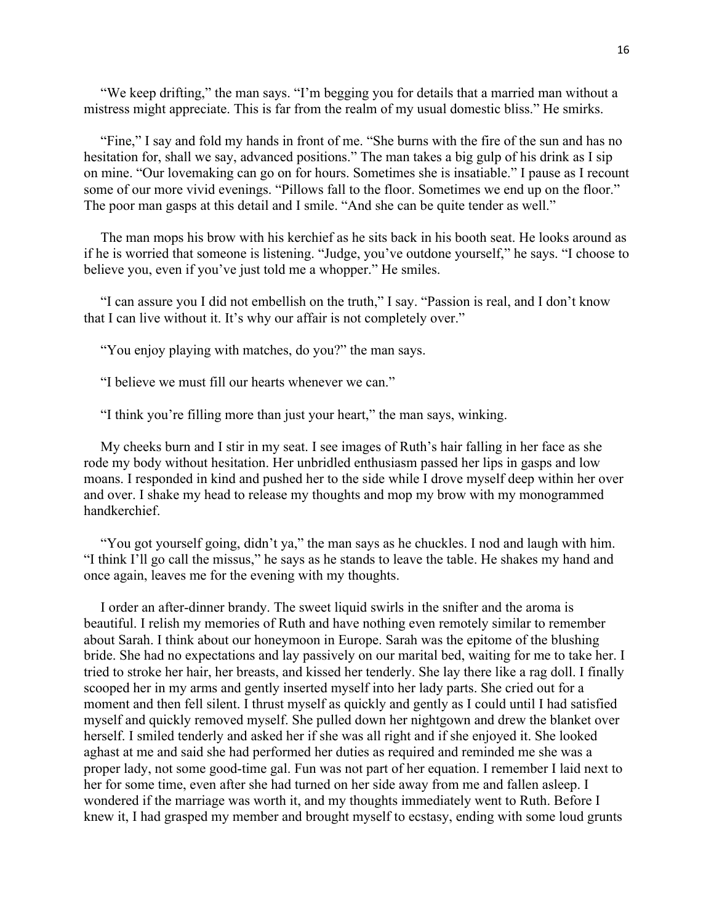"We keep drifting," the man says. "I'm begging you for details that a married man without a mistress might appreciate. This is far from the realm of my usual domestic bliss." He smirks.

"Fine," I say and fold my hands in front of me. "She burns with the fire of the sun and has no hesitation for, shall we say, advanced positions." The man takes a big gulp of his drink as I sip on mine. "Our lovemaking can go on for hours. Sometimes she is insatiable." I pause as I recount some of our more vivid evenings. "Pillows fall to the floor. Sometimes we end up on the floor." The poor man gasps at this detail and I smile. "And she can be quite tender as well."

The man mops his brow with his kerchief as he sits back in his booth seat. He looks around as if he is worried that someone is listening. "Judge, you've outdone yourself," he says. "I choose to believe you, even if you've just told me a whopper." He smiles.

"I can assure you I did not embellish on the truth," I say. "Passion is real, and I don't know that I can live without it. It's why our affair is not completely over."

"You enjoy playing with matches, do you?" the man says.

"I believe we must fill our hearts whenever we can."

"I think you're filling more than just your heart," the man says, winking.

My cheeks burn and I stir in my seat. I see images of Ruth's hair falling in her face as she rode my body without hesitation. Her unbridled enthusiasm passed her lips in gasps and low moans. I responded in kind and pushed her to the side while I drove myself deep within her over and over. I shake my head to release my thoughts and mop my brow with my monogrammed handkerchief.

"You got yourself going, didn't ya," the man says as he chuckles. I nod and laugh with him. "I think I'll go call the missus," he says as he stands to leave the table. He shakes my hand and once again, leaves me for the evening with my thoughts.

I order an after-dinner brandy. The sweet liquid swirls in the snifter and the aroma is beautiful. I relish my memories of Ruth and have nothing even remotely similar to remember about Sarah. I think about our honeymoon in Europe. Sarah was the epitome of the blushing bride. She had no expectations and lay passively on our marital bed, waiting for me to take her. I tried to stroke her hair, her breasts, and kissed her tenderly. She lay there like a rag doll. I finally scooped her in my arms and gently inserted myself into her lady parts. She cried out for a moment and then fell silent. I thrust myself as quickly and gently as I could until I had satisfied myself and quickly removed myself. She pulled down her nightgown and drew the blanket over herself. I smiled tenderly and asked her if she was all right and if she enjoyed it. She looked aghast at me and said she had performed her duties as required and reminded me she was a proper lady, not some good-time gal. Fun was not part of her equation. I remember I laid next to her for some time, even after she had turned on her side away from me and fallen asleep. I wondered if the marriage was worth it, and my thoughts immediately went to Ruth. Before I knew it, I had grasped my member and brought myself to ecstasy, ending with some loud grunts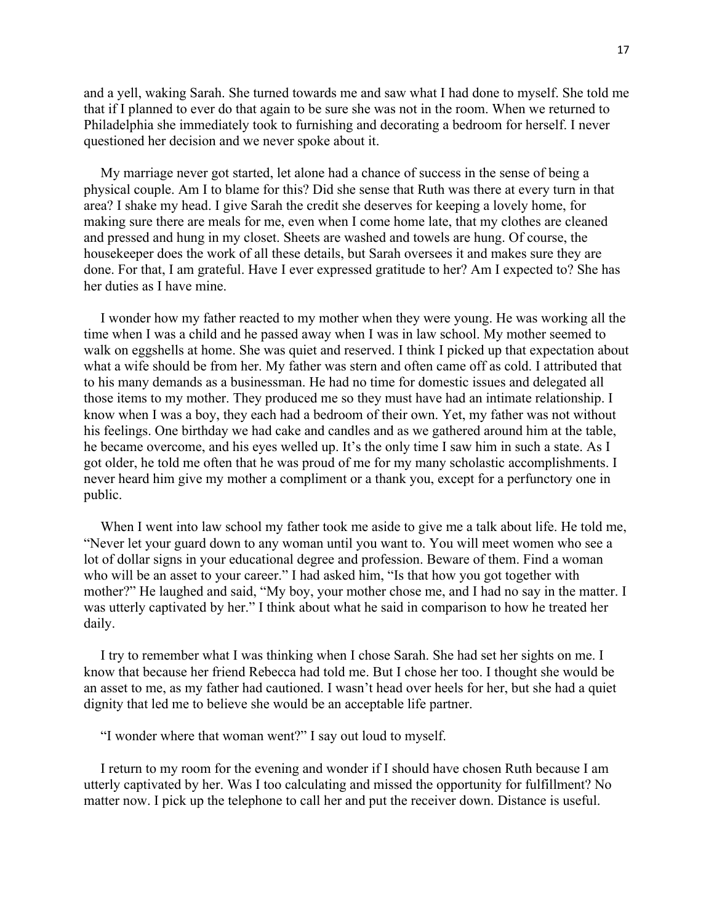and a yell, waking Sarah. She turned towards me and saw what I had done to myself. She told me that if I planned to ever do that again to be sure she was not in the room. When we returned to Philadelphia she immediately took to furnishing and decorating a bedroom for herself. I never questioned her decision and we never spoke about it.

My marriage never got started, let alone had a chance of success in the sense of being a physical couple. Am I to blame for this? Did she sense that Ruth was there at every turn in that area? I shake my head. I give Sarah the credit she deserves for keeping a lovely home, for making sure there are meals for me, even when I come home late, that my clothes are cleaned and pressed and hung in my closet. Sheets are washed and towels are hung. Of course, the housekeeper does the work of all these details, but Sarah oversees it and makes sure they are done. For that, I am grateful. Have I ever expressed gratitude to her? Am I expected to? She has her duties as I have mine.

I wonder how my father reacted to my mother when they were young. He was working all the time when I was a child and he passed away when I was in law school. My mother seemed to walk on eggshells at home. She was quiet and reserved. I think I picked up that expectation about what a wife should be from her. My father was stern and often came off as cold. I attributed that to his many demands as a businessman. He had no time for domestic issues and delegated all those items to my mother. They produced me so they must have had an intimate relationship. I know when I was a boy, they each had a bedroom of their own. Yet, my father was not without his feelings. One birthday we had cake and candles and as we gathered around him at the table, he became overcome, and his eyes welled up. It's the only time I saw him in such a state. As I got older, he told me often that he was proud of me for my many scholastic accomplishments. I never heard him give my mother a compliment or a thank you, except for a perfunctory one in public.

When I went into law school my father took me aside to give me a talk about life. He told me, "Never let your guard down to any woman until you want to. You will meet women who see a lot of dollar signs in your educational degree and profession. Beware of them. Find a woman who will be an asset to your career." I had asked him, "Is that how you got together with mother?" He laughed and said, "My boy, your mother chose me, and I had no say in the matter. I was utterly captivated by her." I think about what he said in comparison to how he treated her daily.

I try to remember what I was thinking when I chose Sarah. She had set her sights on me. I know that because her friend Rebecca had told me. But I chose her too. I thought she would be an asset to me, as my father had cautioned. I wasn't head over heels for her, but she had a quiet dignity that led me to believe she would be an acceptable life partner.

"I wonder where that woman went?" I say out loud to myself.

I return to my room for the evening and wonder if I should have chosen Ruth because I am utterly captivated by her. Was I too calculating and missed the opportunity for fulfillment? No matter now. I pick up the telephone to call her and put the receiver down. Distance is useful.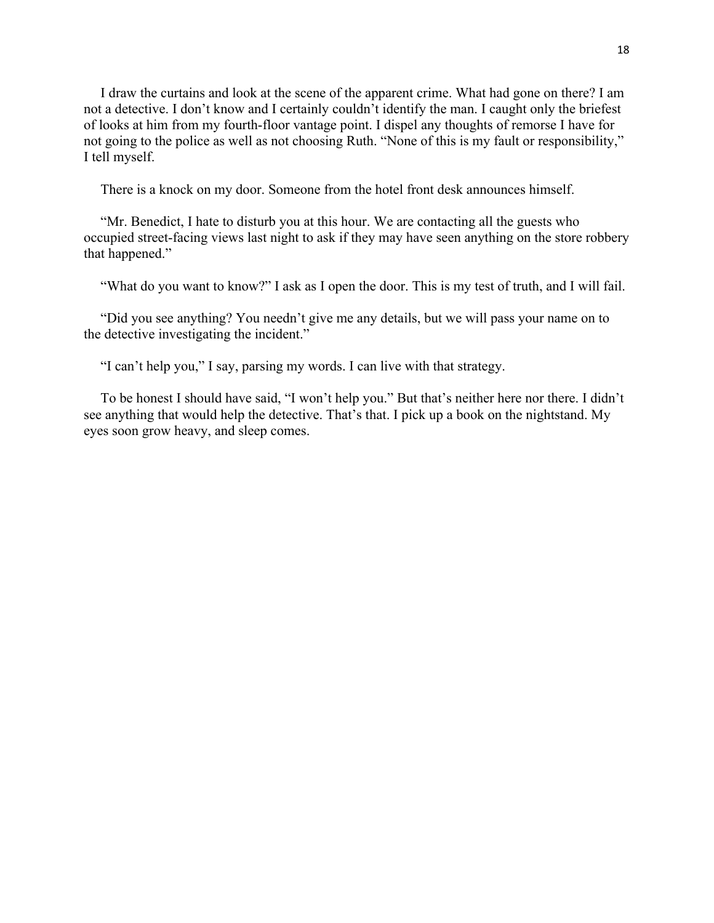I draw the curtains and look at the scene of the apparent crime. What had gone on there? I am not a detective. I don't know and I certainly couldn't identify the man. I caught only the briefest of looks at him from my fourth-floor vantage point. I dispel any thoughts of remorse I have for not going to the police as well as not choosing Ruth. "None of this is my fault or responsibility," I tell myself.

There is a knock on my door. Someone from the hotel front desk announces himself.

"Mr. Benedict, I hate to disturb you at this hour. We are contacting all the guests who occupied street-facing views last night to ask if they may have seen anything on the store robbery that happened."

"What do you want to know?" I ask as I open the door. This is my test of truth, and I will fail.

"Did you see anything? You needn't give me any details, but we will pass your name on to the detective investigating the incident."

"I can't help you," I say, parsing my words. I can live with that strategy.

To be honest I should have said, "I won't help you." But that's neither here nor there. I didn't see anything that would help the detective. That's that. I pick up a book on the nightstand. My eyes soon grow heavy, and sleep comes.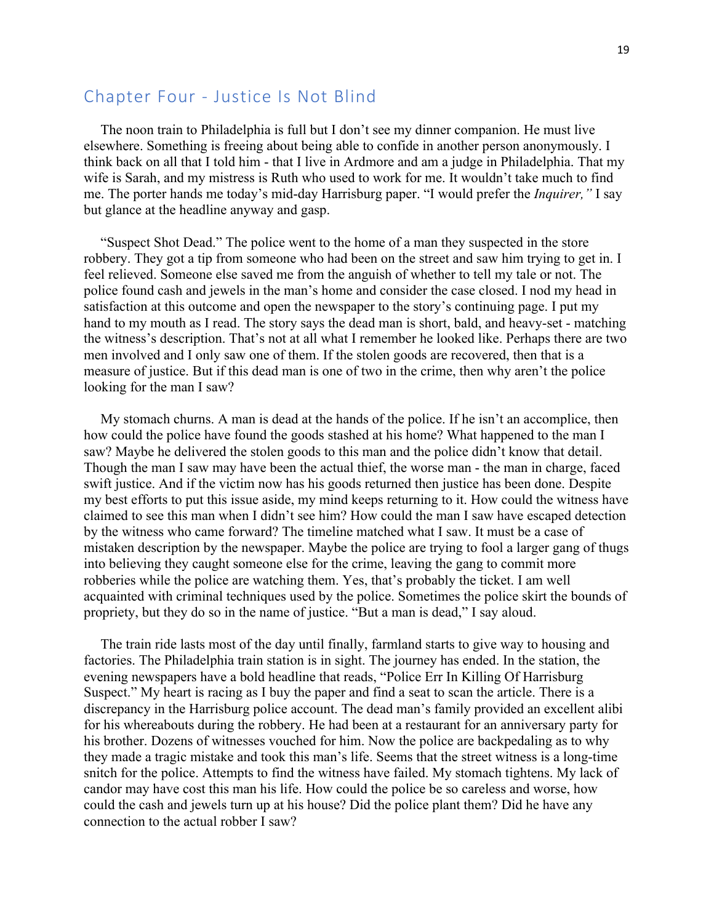## Chapter Four - Justice Is Not Blind

The noon train to Philadelphia is full but I don't see my dinner companion. He must live elsewhere. Something is freeing about being able to confide in another person anonymously. I think back on all that I told him - that I live in Ardmore and am a judge in Philadelphia. That my wife is Sarah, and my mistress is Ruth who used to work for me. It wouldn't take much to find me. The porter hands me today's mid-day Harrisburg paper. "I would prefer the *Inquirer,"* I say but glance at the headline anyway and gasp.

"Suspect Shot Dead." The police went to the home of a man they suspected in the store robbery. They got a tip from someone who had been on the street and saw him trying to get in. I feel relieved. Someone else saved me from the anguish of whether to tell my tale or not. The police found cash and jewels in the man's home and consider the case closed. I nod my head in satisfaction at this outcome and open the newspaper to the story's continuing page. I put my hand to my mouth as I read. The story says the dead man is short, bald, and heavy-set - matching the witness's description. That's not at all what I remember he looked like. Perhaps there are two men involved and I only saw one of them. If the stolen goods are recovered, then that is a measure of justice. But if this dead man is one of two in the crime, then why aren't the police looking for the man I saw?

My stomach churns. A man is dead at the hands of the police. If he isn't an accomplice, then how could the police have found the goods stashed at his home? What happened to the man I saw? Maybe he delivered the stolen goods to this man and the police didn't know that detail. Though the man I saw may have been the actual thief, the worse man - the man in charge, faced swift justice. And if the victim now has his goods returned then justice has been done. Despite my best efforts to put this issue aside, my mind keeps returning to it. How could the witness have claimed to see this man when I didn't see him? How could the man I saw have escaped detection by the witness who came forward? The timeline matched what I saw. It must be a case of mistaken description by the newspaper. Maybe the police are trying to fool a larger gang of thugs into believing they caught someone else for the crime, leaving the gang to commit more robberies while the police are watching them. Yes, that's probably the ticket. I am well acquainted with criminal techniques used by the police. Sometimes the police skirt the bounds of propriety, but they do so in the name of justice. "But a man is dead," I say aloud.

The train ride lasts most of the day until finally, farmland starts to give way to housing and factories. The Philadelphia train station is in sight. The journey has ended. In the station, the evening newspapers have a bold headline that reads, "Police Err In Killing Of Harrisburg Suspect." My heart is racing as I buy the paper and find a seat to scan the article. There is a discrepancy in the Harrisburg police account. The dead man's family provided an excellent alibi for his whereabouts during the robbery. He had been at a restaurant for an anniversary party for his brother. Dozens of witnesses vouched for him. Now the police are backpedaling as to why they made a tragic mistake and took this man's life. Seems that the street witness is a long-time snitch for the police. Attempts to find the witness have failed. My stomach tightens. My lack of candor may have cost this man his life. How could the police be so careless and worse, how could the cash and jewels turn up at his house? Did the police plant them? Did he have any connection to the actual robber I saw?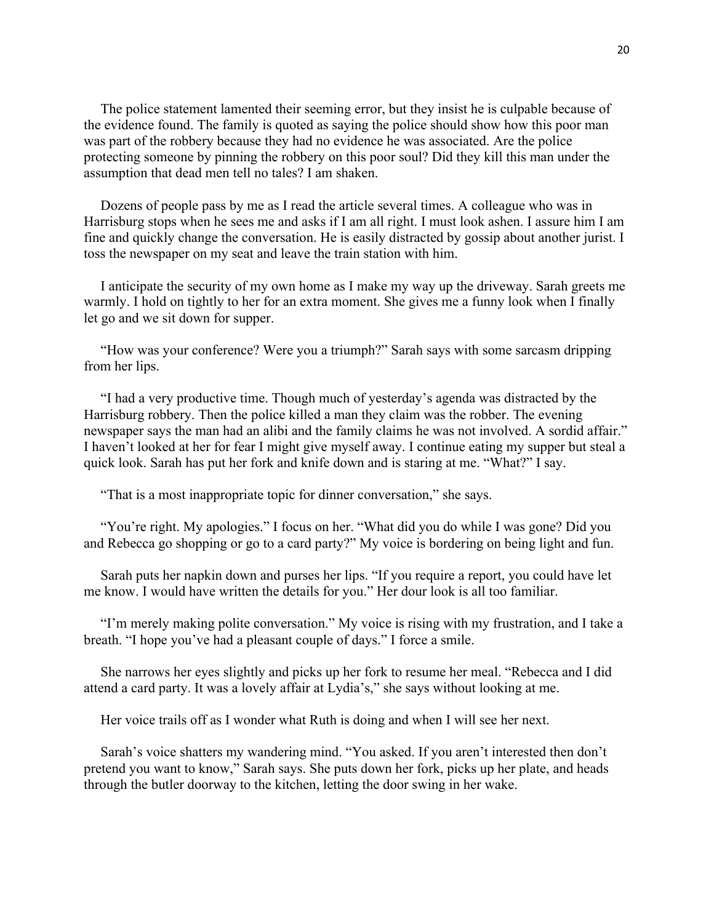The police statement lamented their seeming error, but they insist he is culpable because of the evidence found. The family is quoted as saying the police should show how this poor man was part of the robbery because they had no evidence he was associated. Are the police protecting someone by pinning the robbery on this poor soul? Did they kill this man under the assumption that dead men tell no tales? I am shaken.

Dozens of people pass by me as I read the article several times. A colleague who was in Harrisburg stops when he sees me and asks if I am all right. I must look ashen. I assure him I am fine and quickly change the conversation. He is easily distracted by gossip about another jurist. I toss the newspaper on my seat and leave the train station with him.

I anticipate the security of my own home as I make my way up the driveway. Sarah greets me warmly. I hold on tightly to her for an extra moment. She gives me a funny look when I finally let go and we sit down for supper.

"How was your conference? Were you a triumph?" Sarah says with some sarcasm dripping from her lips.

"I had a very productive time. Though much of yesterday's agenda was distracted by the Harrisburg robbery. Then the police killed a man they claim was the robber. The evening newspaper says the man had an alibi and the family claims he was not involved. A sordid affair." I haven't looked at her for fear I might give myself away. I continue eating my supper but steal a quick look. Sarah has put her fork and knife down and is staring at me. "What?" I say.

"That is a most inappropriate topic for dinner conversation," she says.

"You're right. My apologies." I focus on her. "What did you do while I was gone? Did you and Rebecca go shopping or go to a card party?" My voice is bordering on being light and fun.

Sarah puts her napkin down and purses her lips. "If you require a report, you could have let me know. I would have written the details for you." Her dour look is all too familiar.

"I'm merely making polite conversation." My voice is rising with my frustration, and I take a breath. "I hope you've had a pleasant couple of days." I force a smile.

She narrows her eyes slightly and picks up her fork to resume her meal. "Rebecca and I did attend a card party. It was a lovely affair at Lydia's," she says without looking at me.

Her voice trails off as I wonder what Ruth is doing and when I will see her next.

Sarah's voice shatters my wandering mind. "You asked. If you aren't interested then don't pretend you want to know," Sarah says. She puts down her fork, picks up her plate, and heads through the butler doorway to the kitchen, letting the door swing in her wake.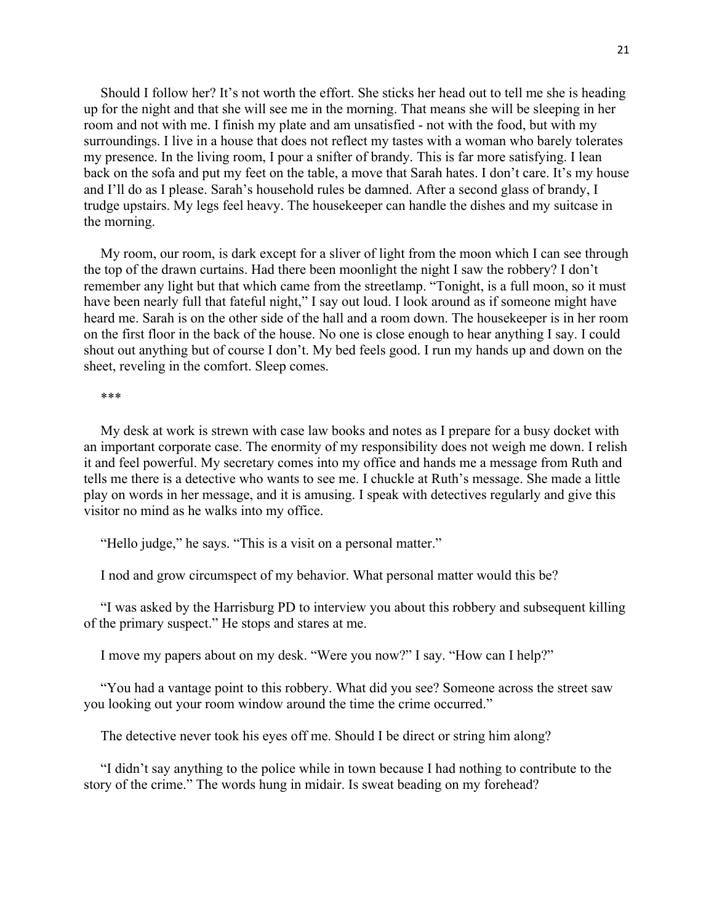Should I follow her? It's not worth the effort. She sticks her head out to tell me she is heading up for the night and that she will see me in the morning. That means she will be sleeping in her room and not with me. I finish my plate and am unsatisfied - not with the food, but with my surroundings. I live in a house that does not reflect my tastes with a woman who barely tolerates my presence. In the living room, I pour a snifter of brandy. This is far more satisfying. I lean back on the sofa and put my feet on the table, a move that Sarah hates. I don't care. It's my house and I'll do as I please. Sarah's household rules be damned. After a second glass of brandy, I trudge upstairs. My legs feel heavy. The housekeeper can handle the dishes and my suitcase in the morning.

My room, our room, is dark except for a sliver of light from the moon which I can see through the top of the drawn curtains. Had there been moonlight the night I saw the robbery? I don't remember any light but that which came from the streetlamp. "Tonight, is a full moon, so it must have been nearly full that fateful night," I say out loud. I look around as if someone might have heard me. Sarah is on the other side of the hall and a room down. The housekeeper is in her room on the first floor in the back of the house. No one is close enough to hear anything I say. I could shout out anything but of course I don't. My bed feels good. I run my hands up and down on the sheet, reveling in the comfort. Sleep comes.

#### \*\*\*

My desk at work is strewn with case law books and notes as I prepare for a busy docket with an important corporate case. The enormity of my responsibility does not weigh me down. I relish it and feel powerful. My secretary comes into my office and hands me a message from Ruth and tells me there is a detective who wants to see me. I chuckle at Ruth's message. She made a little play on words in her message, and it is amusing. I speak with detectives regularly and give this visitor no mind as he walks into my office.

"Hello judge," he says. "This is a visit on a personal matter."

I nod and grow circumspect of my behavior. What personal matter would this be?

"I was asked by the Harrisburg PD to interview you about this robbery and subsequent killing of the primary suspect." He stops and stares at me.

I move my papers about on my desk. "Were you now?" I say. "How can I help?"

"You had a vantage point to this robbery. What did you see? Someone across the street saw you looking out your room window around the time the crime occurred."

The detective never took his eyes off me. Should I be direct or string him along?

"I didn't say anything to the police while in town because I had nothing to contribute to the story of the crime." The words hung in midair. Is sweat beading on my forehead?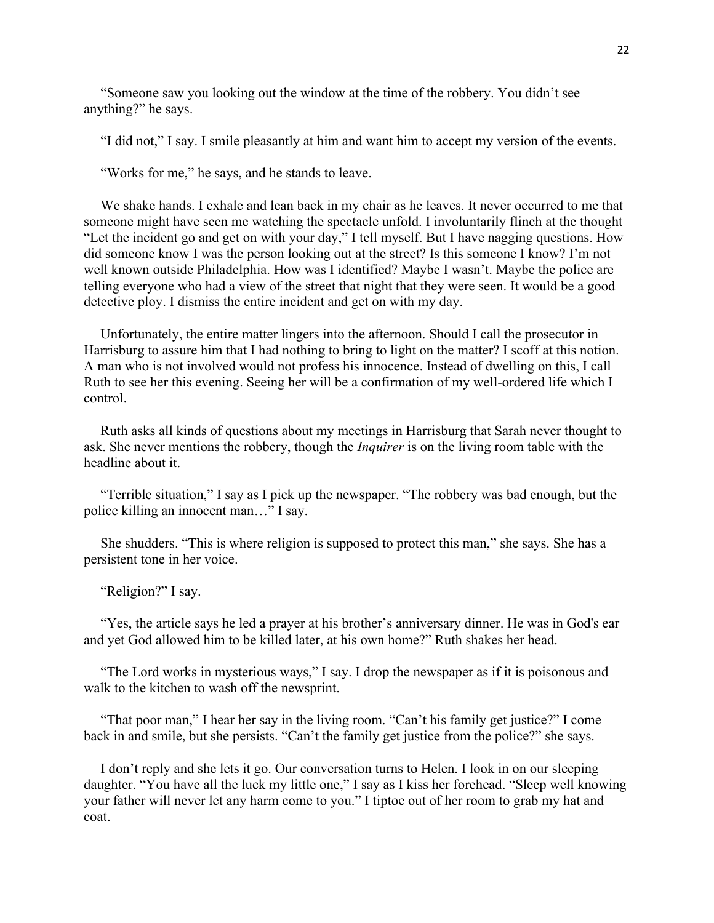"Someone saw you looking out the window at the time of the robbery. You didn't see anything?" he says.

"I did not," I say. I smile pleasantly at him and want him to accept my version of the events.

"Works for me," he says, and he stands to leave.

We shake hands. I exhale and lean back in my chair as he leaves. It never occurred to me that someone might have seen me watching the spectacle unfold. I involuntarily flinch at the thought "Let the incident go and get on with your day," I tell myself. But I have nagging questions. How did someone know I was the person looking out at the street? Is this someone I know? I'm not well known outside Philadelphia. How was I identified? Maybe I wasn't. Maybe the police are telling everyone who had a view of the street that night that they were seen. It would be a good detective ploy. I dismiss the entire incident and get on with my day.

Unfortunately, the entire matter lingers into the afternoon. Should I call the prosecutor in Harrisburg to assure him that I had nothing to bring to light on the matter? I scoff at this notion. A man who is not involved would not profess his innocence. Instead of dwelling on this, I call Ruth to see her this evening. Seeing her will be a confirmation of my well-ordered life which I control.

Ruth asks all kinds of questions about my meetings in Harrisburg that Sarah never thought to ask. She never mentions the robbery, though the *Inquirer* is on the living room table with the headline about it.

"Terrible situation," I say as I pick up the newspaper. "The robbery was bad enough, but the police killing an innocent man…" I say.

She shudders. "This is where religion is supposed to protect this man," she says. She has a persistent tone in her voice.

"Religion?" I say.

"Yes, the article says he led a prayer at his brother's anniversary dinner. He was in God's ear and yet God allowed him to be killed later, at his own home?" Ruth shakes her head.

"The Lord works in mysterious ways," I say. I drop the newspaper as if it is poisonous and walk to the kitchen to wash off the newsprint.

"That poor man," I hear her say in the living room. "Can't his family get justice?" I come back in and smile, but she persists. "Can't the family get justice from the police?" she says.

I don't reply and she lets it go. Our conversation turns to Helen. I look in on our sleeping daughter. "You have all the luck my little one," I say as I kiss her forehead. "Sleep well knowing your father will never let any harm come to you." I tiptoe out of her room to grab my hat and coat.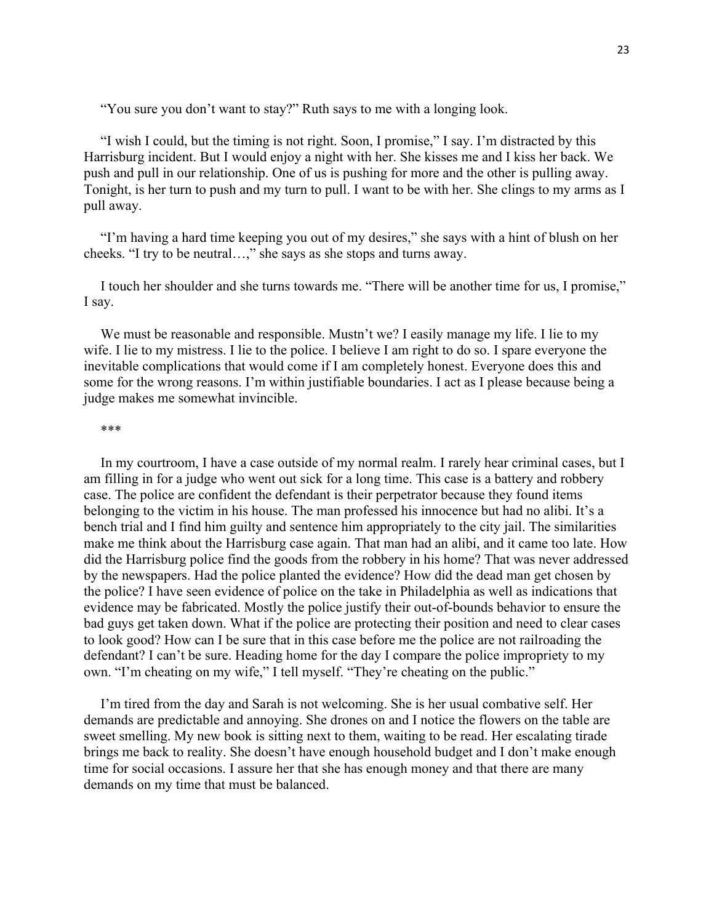"You sure you don't want to stay?" Ruth says to me with a longing look.

"I wish I could, but the timing is not right. Soon, I promise," I say. I'm distracted by this Harrisburg incident. But I would enjoy a night with her. She kisses me and I kiss her back. We push and pull in our relationship. One of us is pushing for more and the other is pulling away. Tonight, is her turn to push and my turn to pull. I want to be with her. She clings to my arms as I pull away.

"I'm having a hard time keeping you out of my desires," she says with a hint of blush on her cheeks. "I try to be neutral…," she says as she stops and turns away.

I touch her shoulder and she turns towards me. "There will be another time for us, I promise," I say.

We must be reasonable and responsible. Mustn't we? I easily manage my life. I lie to my wife. I lie to my mistress. I lie to the police. I believe I am right to do so. I spare everyone the inevitable complications that would come if I am completely honest. Everyone does this and some for the wrong reasons. I'm within justifiable boundaries. I act as I please because being a judge makes me somewhat invincible.

#### \*\*\*

In my courtroom, I have a case outside of my normal realm. I rarely hear criminal cases, but I am filling in for a judge who went out sick for a long time. This case is a battery and robbery case. The police are confident the defendant is their perpetrator because they found items belonging to the victim in his house. The man professed his innocence but had no alibi. It's a bench trial and I find him guilty and sentence him appropriately to the city jail. The similarities make me think about the Harrisburg case again. That man had an alibi, and it came too late. How did the Harrisburg police find the goods from the robbery in his home? That was never addressed by the newspapers. Had the police planted the evidence? How did the dead man get chosen by the police? I have seen evidence of police on the take in Philadelphia as well as indications that evidence may be fabricated. Mostly the police justify their out-of-bounds behavior to ensure the bad guys get taken down. What if the police are protecting their position and need to clear cases to look good? How can I be sure that in this case before me the police are not railroading the defendant? I can't be sure. Heading home for the day I compare the police impropriety to my own. "I'm cheating on my wife," I tell myself. "They're cheating on the public."

I'm tired from the day and Sarah is not welcoming. She is her usual combative self. Her demands are predictable and annoying. She drones on and I notice the flowers on the table are sweet smelling. My new book is sitting next to them, waiting to be read. Her escalating tirade brings me back to reality. She doesn't have enough household budget and I don't make enough time for social occasions. I assure her that she has enough money and that there are many demands on my time that must be balanced.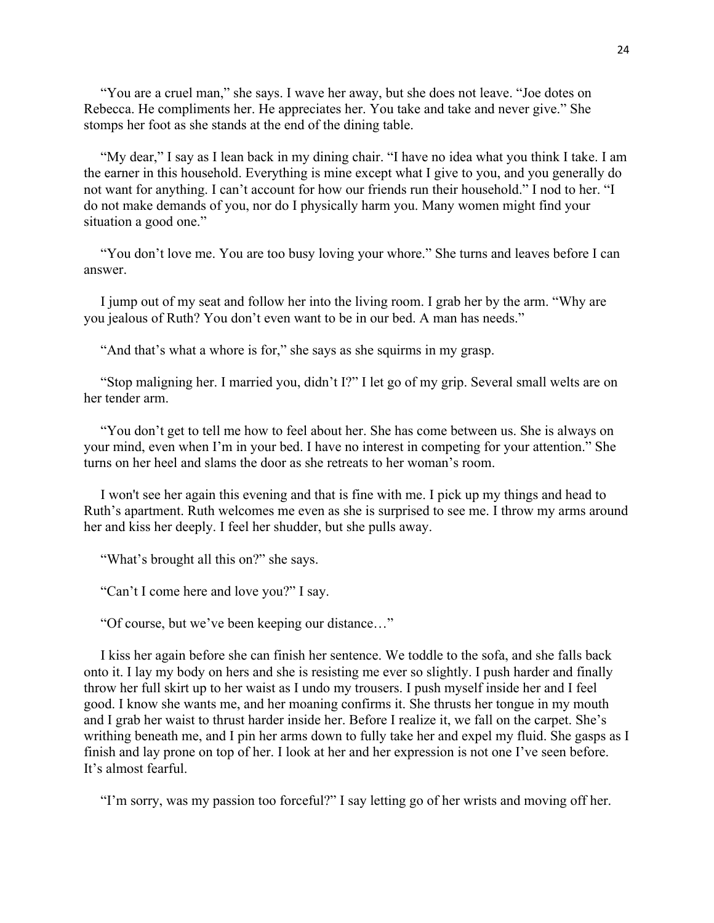"You are a cruel man," she says. I wave her away, but she does not leave. "Joe dotes on Rebecca. He compliments her. He appreciates her. You take and take and never give." She stomps her foot as she stands at the end of the dining table.

"My dear," I say as I lean back in my dining chair. "I have no idea what you think I take. I am the earner in this household. Everything is mine except what I give to you, and you generally do not want for anything. I can't account for how our friends run their household." I nod to her. "I do not make demands of you, nor do I physically harm you. Many women might find your situation a good one."

"You don't love me. You are too busy loving your whore." She turns and leaves before I can answer.

I jump out of my seat and follow her into the living room. I grab her by the arm. "Why are you jealous of Ruth? You don't even want to be in our bed. A man has needs."

"And that's what a whore is for," she says as she squirms in my grasp.

"Stop maligning her. I married you, didn't I?" I let go of my grip. Several small welts are on her tender arm.

"You don't get to tell me how to feel about her. She has come between us. She is always on your mind, even when I'm in your bed. I have no interest in competing for your attention." She turns on her heel and slams the door as she retreats to her woman's room.

I won't see her again this evening and that is fine with me. I pick up my things and head to Ruth's apartment. Ruth welcomes me even as she is surprised to see me. I throw my arms around her and kiss her deeply. I feel her shudder, but she pulls away.

"What's brought all this on?" she says.

"Can't I come here and love you?" I say.

"Of course, but we've been keeping our distance…"

I kiss her again before she can finish her sentence. We toddle to the sofa, and she falls back onto it. I lay my body on hers and she is resisting me ever so slightly. I push harder and finally throw her full skirt up to her waist as I undo my trousers. I push myself inside her and I feel good. I know she wants me, and her moaning confirms it. She thrusts her tongue in my mouth and I grab her waist to thrust harder inside her. Before I realize it, we fall on the carpet. She's writhing beneath me, and I pin her arms down to fully take her and expel my fluid. She gasps as I finish and lay prone on top of her. I look at her and her expression is not one I've seen before. It's almost fearful.

"I'm sorry, was my passion too forceful?" I say letting go of her wrists and moving off her.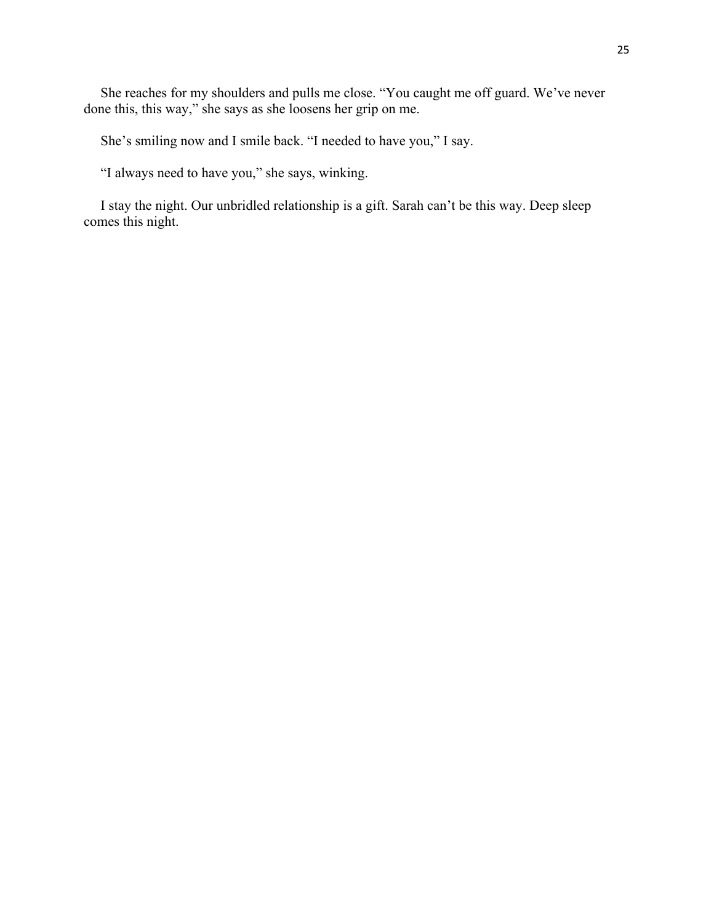She reaches for my shoulders and pulls me close. "You caught me off guard. We've never done this, this way," she says as she loosens her grip on me.

She's smiling now and I smile back. "I needed to have you," I say.

"I always need to have you," she says, winking.

I stay the night. Our unbridled relationship is a gift. Sarah can't be this way. Deep sleep comes this night.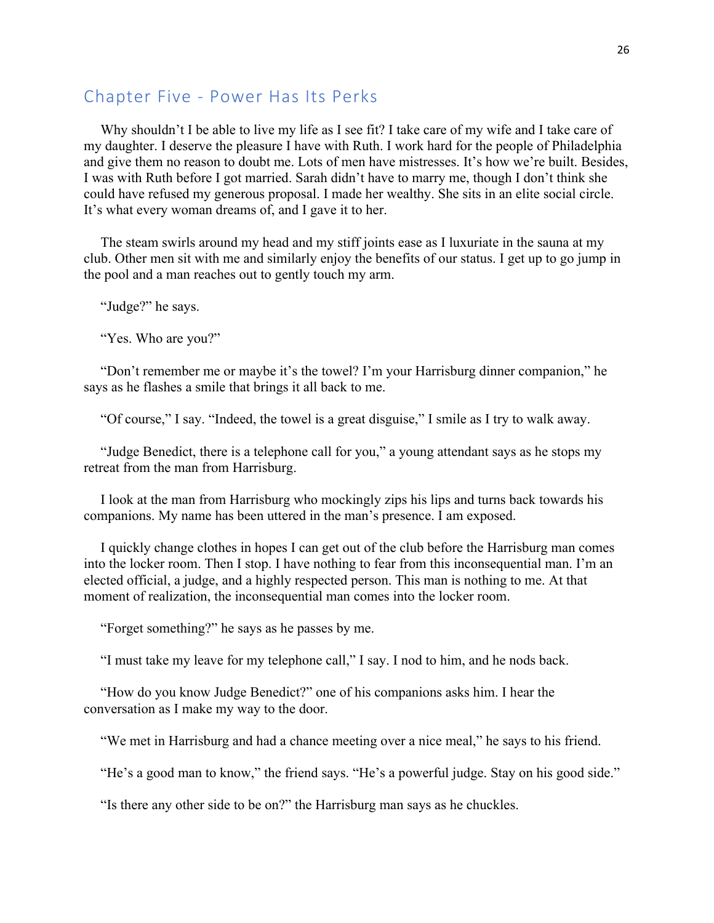## Chapter Five - Power Has Its Perks

Why shouldn't I be able to live my life as I see fit? I take care of my wife and I take care of my daughter. I deserve the pleasure I have with Ruth. I work hard for the people of Philadelphia and give them no reason to doubt me. Lots of men have mistresses. It's how we're built. Besides, I was with Ruth before I got married. Sarah didn't have to marry me, though I don't think she could have refused my generous proposal. I made her wealthy. She sits in an elite social circle. It's what every woman dreams of, and I gave it to her.

The steam swirls around my head and my stiff joints ease as I luxuriate in the sauna at my club. Other men sit with me and similarly enjoy the benefits of our status. I get up to go jump in the pool and a man reaches out to gently touch my arm.

"Judge?" he says.

"Yes. Who are you?"

"Don't remember me or maybe it's the towel? I'm your Harrisburg dinner companion," he says as he flashes a smile that brings it all back to me.

"Of course," I say. "Indeed, the towel is a great disguise," I smile as I try to walk away.

"Judge Benedict, there is a telephone call for you," a young attendant says as he stops my retreat from the man from Harrisburg.

I look at the man from Harrisburg who mockingly zips his lips and turns back towards his companions. My name has been uttered in the man's presence. I am exposed.

I quickly change clothes in hopes I can get out of the club before the Harrisburg man comes into the locker room. Then I stop. I have nothing to fear from this inconsequential man. I'm an elected official, a judge, and a highly respected person. This man is nothing to me. At that moment of realization, the inconsequential man comes into the locker room.

"Forget something?" he says as he passes by me.

"I must take my leave for my telephone call," I say. I nod to him, and he nods back.

"How do you know Judge Benedict?" one of his companions asks him. I hear the conversation as I make my way to the door.

"We met in Harrisburg and had a chance meeting over a nice meal," he says to his friend.

"He's a good man to know," the friend says. "He's a powerful judge. Stay on his good side."

"Is there any other side to be on?" the Harrisburg man says as he chuckles.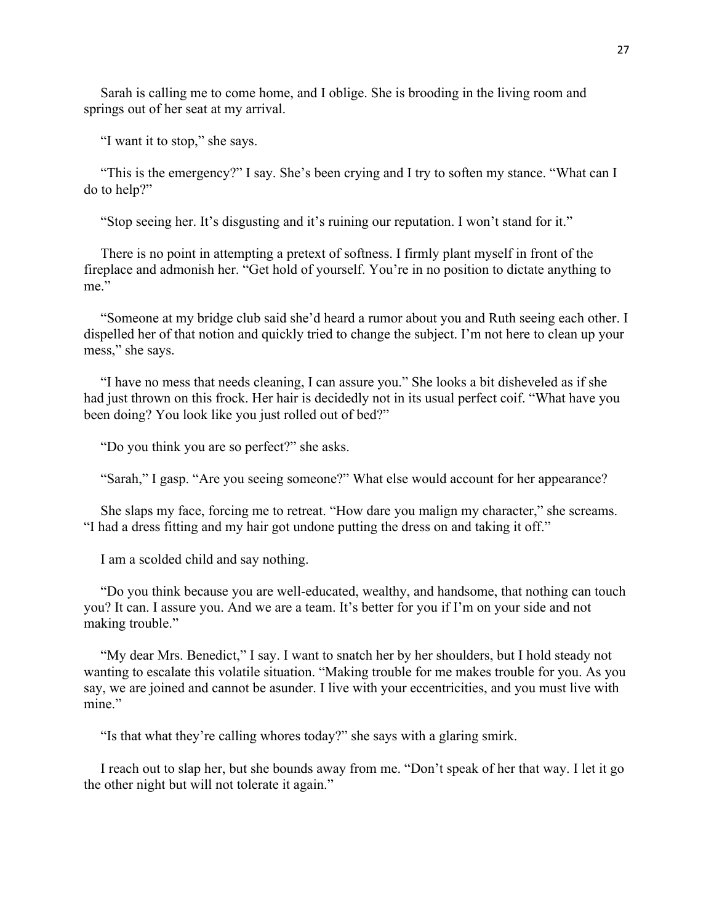Sarah is calling me to come home, and I oblige. She is brooding in the living room and springs out of her seat at my arrival.

"I want it to stop," she says.

"This is the emergency?" I say. She's been crying and I try to soften my stance. "What can I do to help?"

"Stop seeing her. It's disgusting and it's ruining our reputation. I won't stand for it."

There is no point in attempting a pretext of softness. I firmly plant myself in front of the fireplace and admonish her. "Get hold of yourself. You're in no position to dictate anything to me."

"Someone at my bridge club said she'd heard a rumor about you and Ruth seeing each other. I dispelled her of that notion and quickly tried to change the subject. I'm not here to clean up your mess," she says.

"I have no mess that needs cleaning, I can assure you." She looks a bit disheveled as if she had just thrown on this frock. Her hair is decidedly not in its usual perfect coif. "What have you been doing? You look like you just rolled out of bed?"

"Do you think you are so perfect?" she asks.

"Sarah," I gasp. "Are you seeing someone?" What else would account for her appearance?

She slaps my face, forcing me to retreat. "How dare you malign my character," she screams. "I had a dress fitting and my hair got undone putting the dress on and taking it off."

I am a scolded child and say nothing.

"Do you think because you are well-educated, wealthy, and handsome, that nothing can touch you? It can. I assure you. And we are a team. It's better for you if I'm on your side and not making trouble."

"My dear Mrs. Benedict," I say. I want to snatch her by her shoulders, but I hold steady not wanting to escalate this volatile situation. "Making trouble for me makes trouble for you. As you say, we are joined and cannot be asunder. I live with your eccentricities, and you must live with mine."

"Is that what they're calling whores today?" she says with a glaring smirk.

I reach out to slap her, but she bounds away from me. "Don't speak of her that way. I let it go the other night but will not tolerate it again."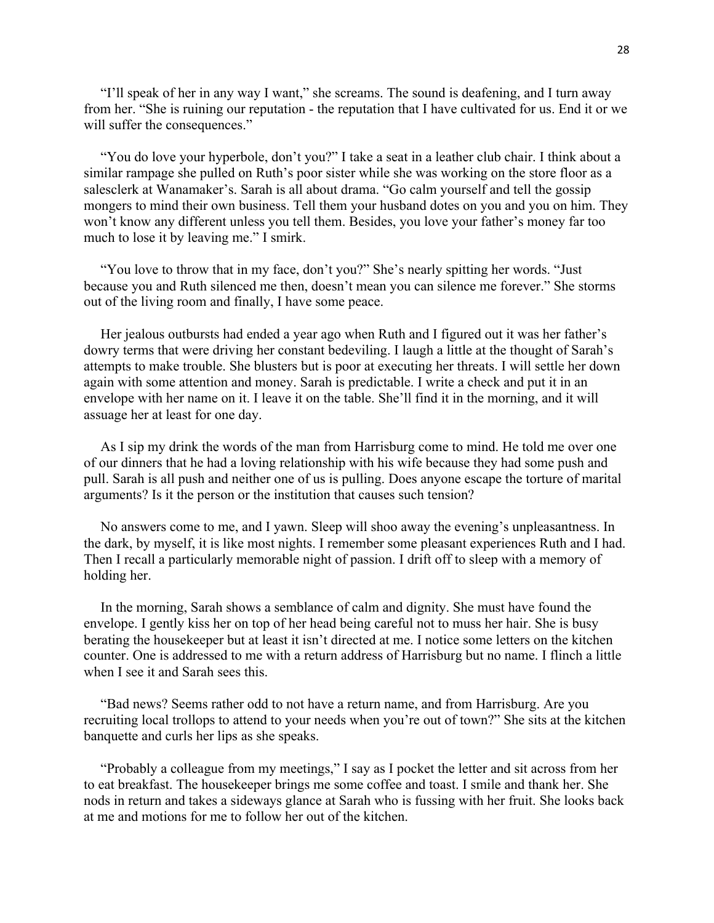"I'll speak of her in any way I want," she screams. The sound is deafening, and I turn away from her. "She is ruining our reputation - the reputation that I have cultivated for us. End it or we will suffer the consequences."

"You do love your hyperbole, don't you?" I take a seat in a leather club chair. I think about a similar rampage she pulled on Ruth's poor sister while she was working on the store floor as a salesclerk at Wanamaker's. Sarah is all about drama. "Go calm yourself and tell the gossip mongers to mind their own business. Tell them your husband dotes on you and you on him. They won't know any different unless you tell them. Besides, you love your father's money far too much to lose it by leaving me." I smirk.

"You love to throw that in my face, don't you?" She's nearly spitting her words. "Just because you and Ruth silenced me then, doesn't mean you can silence me forever." She storms out of the living room and finally, I have some peace.

Her jealous outbursts had ended a year ago when Ruth and I figured out it was her father's dowry terms that were driving her constant bedeviling. I laugh a little at the thought of Sarah's attempts to make trouble. She blusters but is poor at executing her threats. I will settle her down again with some attention and money. Sarah is predictable. I write a check and put it in an envelope with her name on it. I leave it on the table. She'll find it in the morning, and it will assuage her at least for one day.

As I sip my drink the words of the man from Harrisburg come to mind. He told me over one of our dinners that he had a loving relationship with his wife because they had some push and pull. Sarah is all push and neither one of us is pulling. Does anyone escape the torture of marital arguments? Is it the person or the institution that causes such tension?

No answers come to me, and I yawn. Sleep will shoo away the evening's unpleasantness. In the dark, by myself, it is like most nights. I remember some pleasant experiences Ruth and I had. Then I recall a particularly memorable night of passion. I drift off to sleep with a memory of holding her.

In the morning, Sarah shows a semblance of calm and dignity. She must have found the envelope. I gently kiss her on top of her head being careful not to muss her hair. She is busy berating the housekeeper but at least it isn't directed at me. I notice some letters on the kitchen counter. One is addressed to me with a return address of Harrisburg but no name. I flinch a little when I see it and Sarah sees this.

"Bad news? Seems rather odd to not have a return name, and from Harrisburg. Are you recruiting local trollops to attend to your needs when you're out of town?" She sits at the kitchen banquette and curls her lips as she speaks.

"Probably a colleague from my meetings," I say as I pocket the letter and sit across from her to eat breakfast. The housekeeper brings me some coffee and toast. I smile and thank her. She nods in return and takes a sideways glance at Sarah who is fussing with her fruit. She looks back at me and motions for me to follow her out of the kitchen.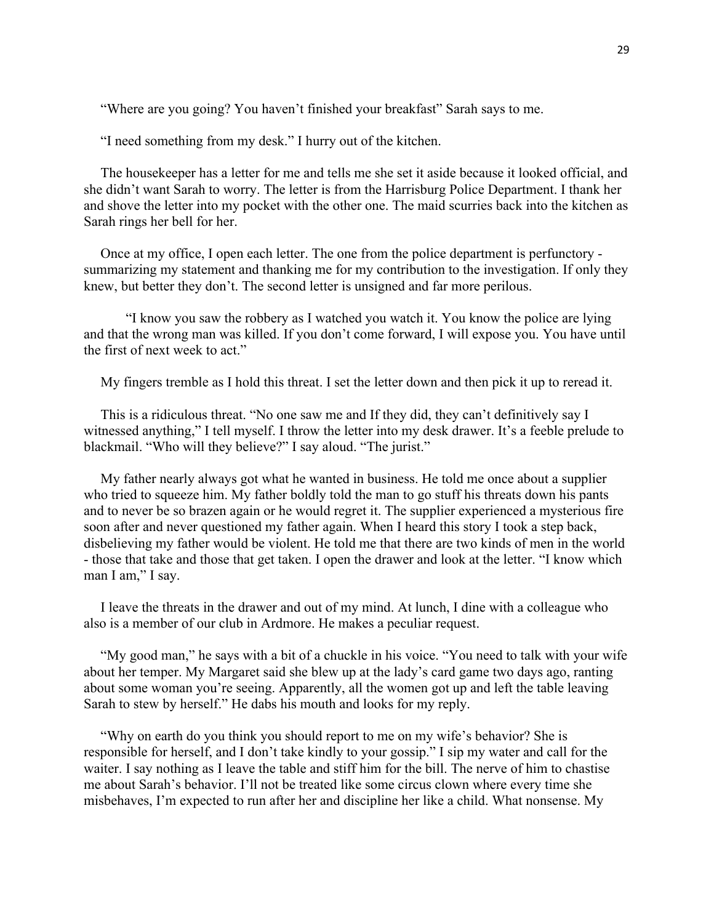"Where are you going? You haven't finished your breakfast" Sarah says to me.

"I need something from my desk." I hurry out of the kitchen.

The housekeeper has a letter for me and tells me she set it aside because it looked official, and she didn't want Sarah to worry. The letter is from the Harrisburg Police Department. I thank her and shove the letter into my pocket with the other one. The maid scurries back into the kitchen as Sarah rings her bell for her.

Once at my office, I open each letter. The one from the police department is perfunctory summarizing my statement and thanking me for my contribution to the investigation. If only they knew, but better they don't. The second letter is unsigned and far more perilous.

"I know you saw the robbery as I watched you watch it. You know the police are lying and that the wrong man was killed. If you don't come forward, I will expose you. You have until the first of next week to act."

My fingers tremble as I hold this threat. I set the letter down and then pick it up to reread it.

This is a ridiculous threat. "No one saw me and If they did, they can't definitively say I witnessed anything," I tell myself. I throw the letter into my desk drawer. It's a feeble prelude to blackmail. "Who will they believe?" I say aloud. "The jurist."

My father nearly always got what he wanted in business. He told me once about a supplier who tried to squeeze him. My father boldly told the man to go stuff his threats down his pants and to never be so brazen again or he would regret it. The supplier experienced a mysterious fire soon after and never questioned my father again. When I heard this story I took a step back, disbelieving my father would be violent. He told me that there are two kinds of men in the world - those that take and those that get taken. I open the drawer and look at the letter. "I know which man I am," I say.

I leave the threats in the drawer and out of my mind. At lunch, I dine with a colleague who also is a member of our club in Ardmore. He makes a peculiar request.

"My good man," he says with a bit of a chuckle in his voice. "You need to talk with your wife about her temper. My Margaret said she blew up at the lady's card game two days ago, ranting about some woman you're seeing. Apparently, all the women got up and left the table leaving Sarah to stew by herself." He dabs his mouth and looks for my reply.

"Why on earth do you think you should report to me on my wife's behavior? She is responsible for herself, and I don't take kindly to your gossip." I sip my water and call for the waiter. I say nothing as I leave the table and stiff him for the bill. The nerve of him to chastise me about Sarah's behavior. I'll not be treated like some circus clown where every time she misbehaves, I'm expected to run after her and discipline her like a child. What nonsense. My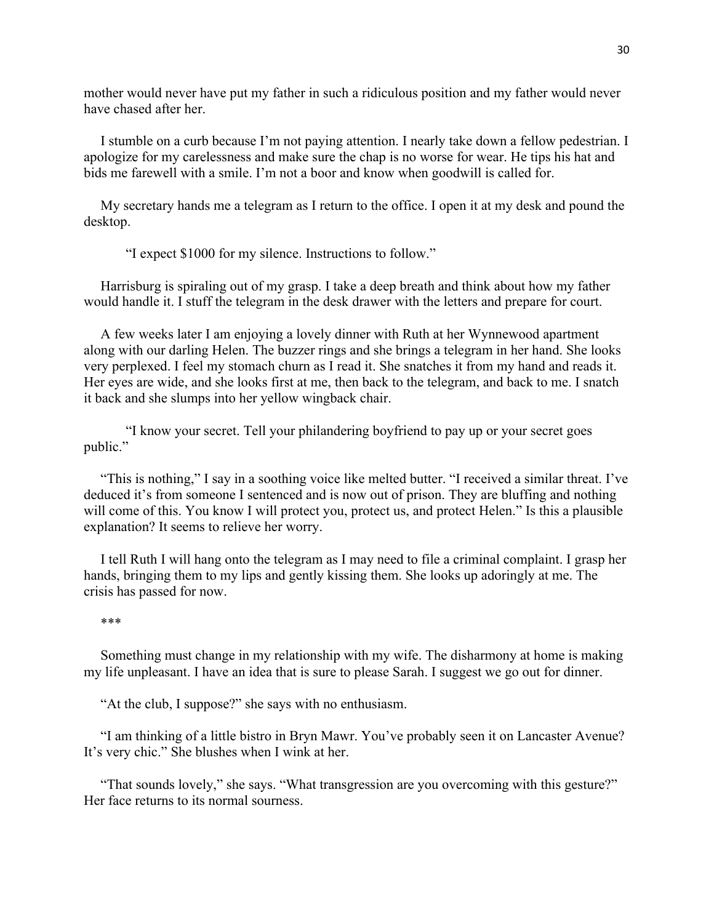mother would never have put my father in such a ridiculous position and my father would never have chased after her.

I stumble on a curb because I'm not paying attention. I nearly take down a fellow pedestrian. I apologize for my carelessness and make sure the chap is no worse for wear. He tips his hat and bids me farewell with a smile. I'm not a boor and know when goodwill is called for.

My secretary hands me a telegram as I return to the office. I open it at my desk and pound the desktop.

"I expect \$1000 for my silence. Instructions to follow."

Harrisburg is spiraling out of my grasp. I take a deep breath and think about how my father would handle it. I stuff the telegram in the desk drawer with the letters and prepare for court.

A few weeks later I am enjoying a lovely dinner with Ruth at her Wynnewood apartment along with our darling Helen. The buzzer rings and she brings a telegram in her hand. She looks very perplexed. I feel my stomach churn as I read it. She snatches it from my hand and reads it. Her eyes are wide, and she looks first at me, then back to the telegram, and back to me. I snatch it back and she slumps into her yellow wingback chair.

"I know your secret. Tell your philandering boyfriend to pay up or your secret goes public."

"This is nothing," I say in a soothing voice like melted butter. "I received a similar threat. I've deduced it's from someone I sentenced and is now out of prison. They are bluffing and nothing will come of this. You know I will protect you, protect us, and protect Helen." Is this a plausible explanation? It seems to relieve her worry.

I tell Ruth I will hang onto the telegram as I may need to file a criminal complaint. I grasp her hands, bringing them to my lips and gently kissing them. She looks up adoringly at me. The crisis has passed for now.

#### \*\*\*

Something must change in my relationship with my wife. The disharmony at home is making my life unpleasant. I have an idea that is sure to please Sarah. I suggest we go out for dinner.

"At the club, I suppose?" she says with no enthusiasm.

"I am thinking of a little bistro in Bryn Mawr. You've probably seen it on Lancaster Avenue? It's very chic." She blushes when I wink at her.

"That sounds lovely," she says. "What transgression are you overcoming with this gesture?" Her face returns to its normal sourness.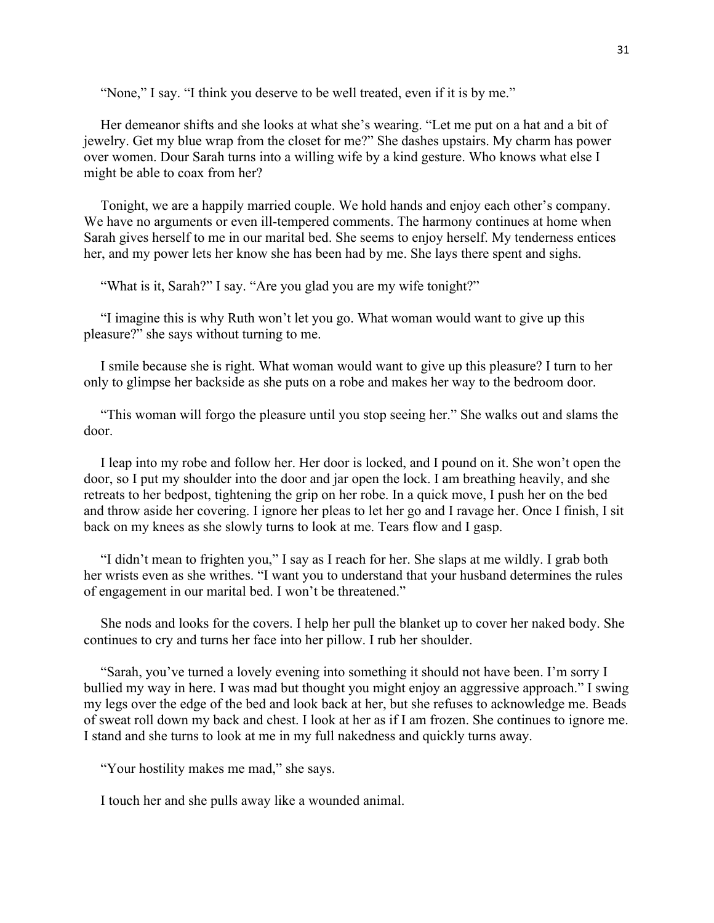"None," I say. "I think you deserve to be well treated, even if it is by me."

Her demeanor shifts and she looks at what she's wearing. "Let me put on a hat and a bit of jewelry. Get my blue wrap from the closet for me?" She dashes upstairs. My charm has power over women. Dour Sarah turns into a willing wife by a kind gesture. Who knows what else I might be able to coax from her?

Tonight, we are a happily married couple. We hold hands and enjoy each other's company. We have no arguments or even ill-tempered comments. The harmony continues at home when Sarah gives herself to me in our marital bed. She seems to enjoy herself. My tenderness entices her, and my power lets her know she has been had by me. She lays there spent and sighs.

"What is it, Sarah?" I say. "Are you glad you are my wife tonight?"

"I imagine this is why Ruth won't let you go. What woman would want to give up this pleasure?" she says without turning to me.

I smile because she is right. What woman would want to give up this pleasure? I turn to her only to glimpse her backside as she puts on a robe and makes her way to the bedroom door.

"This woman will forgo the pleasure until you stop seeing her." She walks out and slams the door.

I leap into my robe and follow her. Her door is locked, and I pound on it. She won't open the door, so I put my shoulder into the door and jar open the lock. I am breathing heavily, and she retreats to her bedpost, tightening the grip on her robe. In a quick move, I push her on the bed and throw aside her covering. I ignore her pleas to let her go and I ravage her. Once I finish, I sit back on my knees as she slowly turns to look at me. Tears flow and I gasp.

"I didn't mean to frighten you," I say as I reach for her. She slaps at me wildly. I grab both her wrists even as she writhes. "I want you to understand that your husband determines the rules of engagement in our marital bed. I won't be threatened."

She nods and looks for the covers. I help her pull the blanket up to cover her naked body. She continues to cry and turns her face into her pillow. I rub her shoulder.

"Sarah, you've turned a lovely evening into something it should not have been. I'm sorry I bullied my way in here. I was mad but thought you might enjoy an aggressive approach." I swing my legs over the edge of the bed and look back at her, but she refuses to acknowledge me. Beads of sweat roll down my back and chest. I look at her as if I am frozen. She continues to ignore me. I stand and she turns to look at me in my full nakedness and quickly turns away.

"Your hostility makes me mad," she says.

I touch her and she pulls away like a wounded animal.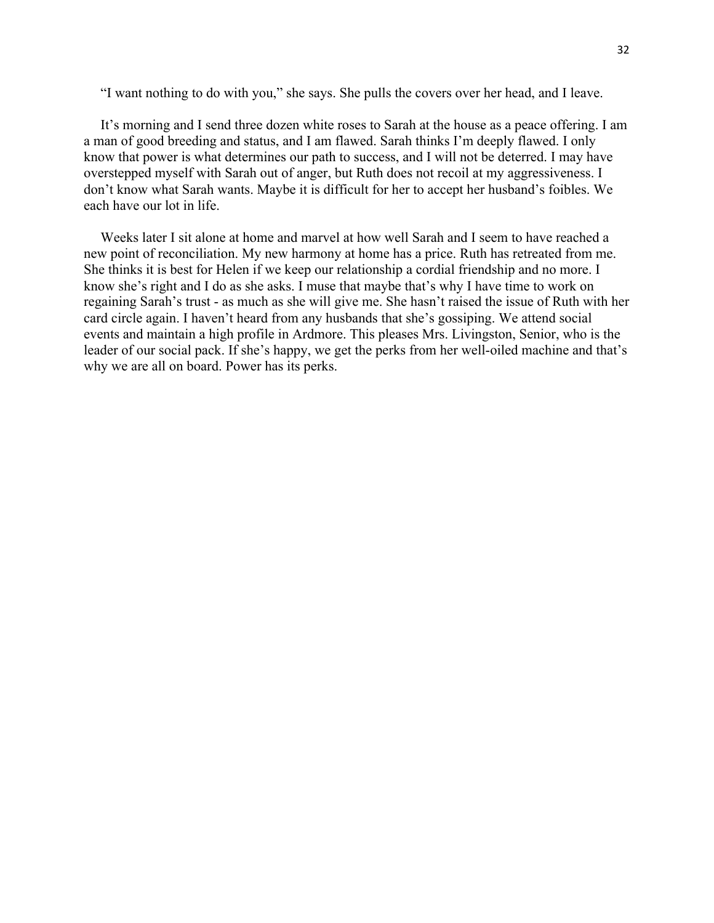"I want nothing to do with you," she says. She pulls the covers over her head, and I leave.

It's morning and I send three dozen white roses to Sarah at the house as a peace offering. I am a man of good breeding and status, and I am flawed. Sarah thinks I'm deeply flawed. I only know that power is what determines our path to success, and I will not be deterred. I may have overstepped myself with Sarah out of anger, but Ruth does not recoil at my aggressiveness. I don't know what Sarah wants. Maybe it is difficult for her to accept her husband's foibles. We each have our lot in life.

Weeks later I sit alone at home and marvel at how well Sarah and I seem to have reached a new point of reconciliation. My new harmony at home has a price. Ruth has retreated from me. She thinks it is best for Helen if we keep our relationship a cordial friendship and no more. I know she's right and I do as she asks. I muse that maybe that's why I have time to work on regaining Sarah's trust - as much as she will give me. She hasn't raised the issue of Ruth with her card circle again. I haven't heard from any husbands that she's gossiping. We attend social events and maintain a high profile in Ardmore. This pleases Mrs. Livingston, Senior, who is the leader of our social pack. If she's happy, we get the perks from her well-oiled machine and that's why we are all on board. Power has its perks.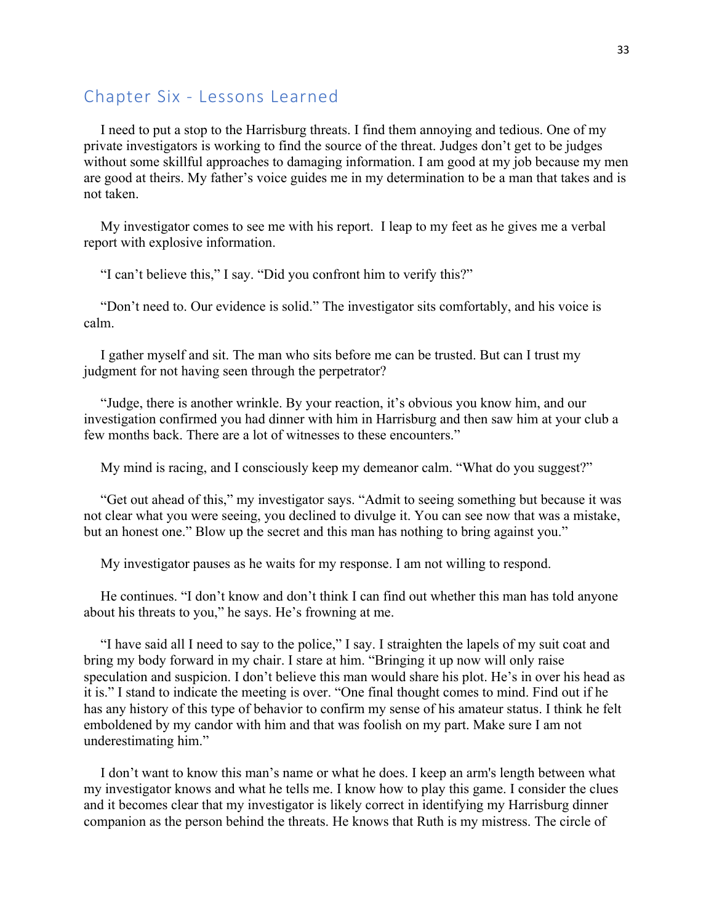## Chapter Six - Lessons Learned

I need to put a stop to the Harrisburg threats. I find them annoying and tedious. One of my private investigators is working to find the source of the threat. Judges don't get to be judges without some skillful approaches to damaging information. I am good at my job because my men are good at theirs. My father's voice guides me in my determination to be a man that takes and is not taken.

My investigator comes to see me with his report. I leap to my feet as he gives me a verbal report with explosive information.

"I can't believe this," I say. "Did you confront him to verify this?"

"Don't need to. Our evidence is solid." The investigator sits comfortably, and his voice is calm.

I gather myself and sit. The man who sits before me can be trusted. But can I trust my judgment for not having seen through the perpetrator?

"Judge, there is another wrinkle. By your reaction, it's obvious you know him, and our investigation confirmed you had dinner with him in Harrisburg and then saw him at your club a few months back. There are a lot of witnesses to these encounters."

My mind is racing, and I consciously keep my demeanor calm. "What do you suggest?"

"Get out ahead of this," my investigator says. "Admit to seeing something but because it was not clear what you were seeing, you declined to divulge it. You can see now that was a mistake, but an honest one." Blow up the secret and this man has nothing to bring against you."

My investigator pauses as he waits for my response. I am not willing to respond.

He continues. "I don't know and don't think I can find out whether this man has told anyone about his threats to you," he says. He's frowning at me.

"I have said all I need to say to the police," I say. I straighten the lapels of my suit coat and bring my body forward in my chair. I stare at him. "Bringing it up now will only raise speculation and suspicion. I don't believe this man would share his plot. He's in over his head as it is." I stand to indicate the meeting is over. "One final thought comes to mind. Find out if he has any history of this type of behavior to confirm my sense of his amateur status. I think he felt emboldened by my candor with him and that was foolish on my part. Make sure I am not underestimating him."

I don't want to know this man's name or what he does. I keep an arm's length between what my investigator knows and what he tells me. I know how to play this game. I consider the clues and it becomes clear that my investigator is likely correct in identifying my Harrisburg dinner companion as the person behind the threats. He knows that Ruth is my mistress. The circle of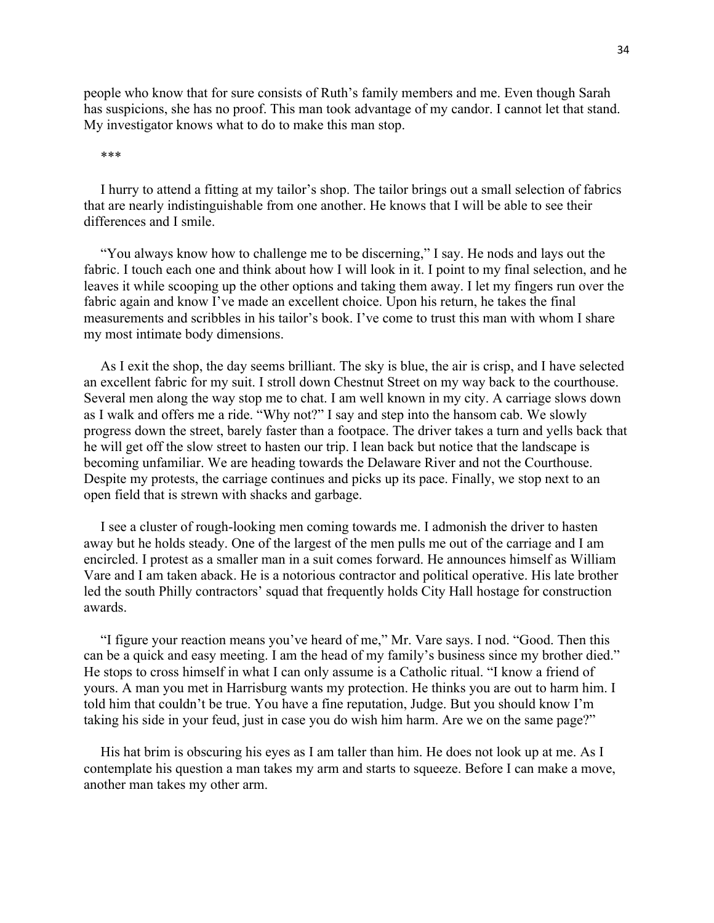people who know that for sure consists of Ruth's family members and me. Even though Sarah has suspicions, she has no proof. This man took advantage of my candor. I cannot let that stand. My investigator knows what to do to make this man stop.

#### \*\*\*

I hurry to attend a fitting at my tailor's shop. The tailor brings out a small selection of fabrics that are nearly indistinguishable from one another. He knows that I will be able to see their differences and I smile.

"You always know how to challenge me to be discerning," I say. He nods and lays out the fabric. I touch each one and think about how I will look in it. I point to my final selection, and he leaves it while scooping up the other options and taking them away. I let my fingers run over the fabric again and know I've made an excellent choice. Upon his return, he takes the final measurements and scribbles in his tailor's book. I've come to trust this man with whom I share my most intimate body dimensions.

As I exit the shop, the day seems brilliant. The sky is blue, the air is crisp, and I have selected an excellent fabric for my suit. I stroll down Chestnut Street on my way back to the courthouse. Several men along the way stop me to chat. I am well known in my city. A carriage slows down as I walk and offers me a ride. "Why not?" I say and step into the hansom cab. We slowly progress down the street, barely faster than a footpace. The driver takes a turn and yells back that he will get off the slow street to hasten our trip. I lean back but notice that the landscape is becoming unfamiliar. We are heading towards the Delaware River and not the Courthouse. Despite my protests, the carriage continues and picks up its pace. Finally, we stop next to an open field that is strewn with shacks and garbage.

I see a cluster of rough-looking men coming towards me. I admonish the driver to hasten away but he holds steady. One of the largest of the men pulls me out of the carriage and I am encircled. I protest as a smaller man in a suit comes forward. He announces himself as William Vare and I am taken aback. He is a notorious contractor and political operative. His late brother led the south Philly contractors' squad that frequently holds City Hall hostage for construction awards.

"I figure your reaction means you've heard of me," Mr. Vare says. I nod. "Good. Then this can be a quick and easy meeting. I am the head of my family's business since my brother died." He stops to cross himself in what I can only assume is a Catholic ritual. "I know a friend of yours. A man you met in Harrisburg wants my protection. He thinks you are out to harm him. I told him that couldn't be true. You have a fine reputation, Judge. But you should know I'm taking his side in your feud, just in case you do wish him harm. Are we on the same page?"

His hat brim is obscuring his eyes as I am taller than him. He does not look up at me. As I contemplate his question a man takes my arm and starts to squeeze. Before I can make a move, another man takes my other arm.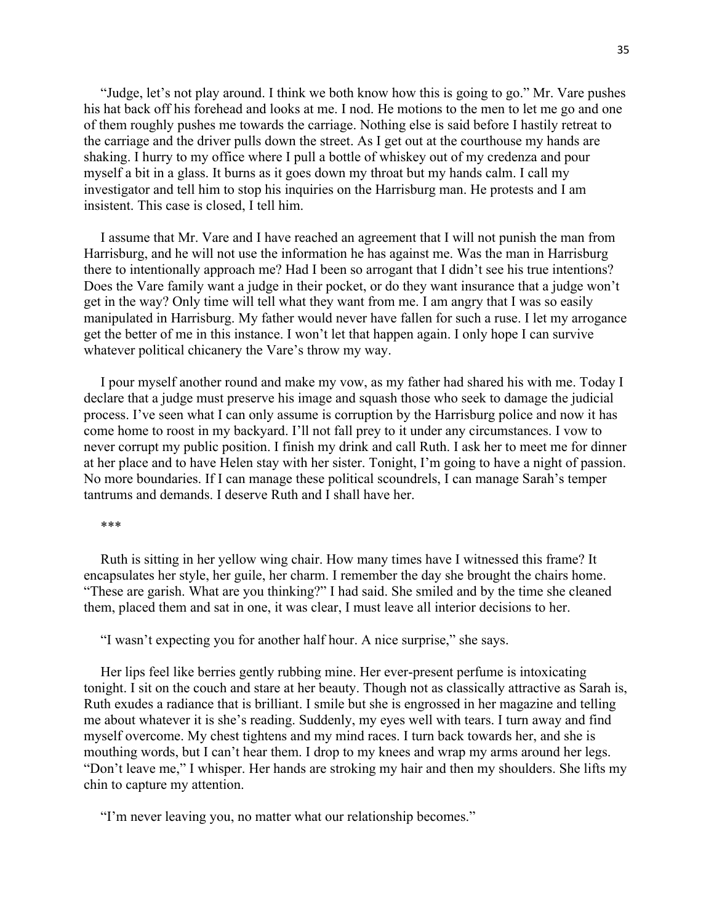"Judge, let's not play around. I think we both know how this is going to go." Mr. Vare pushes his hat back off his forehead and looks at me. I nod. He motions to the men to let me go and one of them roughly pushes me towards the carriage. Nothing else is said before I hastily retreat to the carriage and the driver pulls down the street. As I get out at the courthouse my hands are shaking. I hurry to my office where I pull a bottle of whiskey out of my credenza and pour myself a bit in a glass. It burns as it goes down my throat but my hands calm. I call my investigator and tell him to stop his inquiries on the Harrisburg man. He protests and I am insistent. This case is closed, I tell him.

I assume that Mr. Vare and I have reached an agreement that I will not punish the man from Harrisburg, and he will not use the information he has against me. Was the man in Harrisburg there to intentionally approach me? Had I been so arrogant that I didn't see his true intentions? Does the Vare family want a judge in their pocket, or do they want insurance that a judge won't get in the way? Only time will tell what they want from me. I am angry that I was so easily manipulated in Harrisburg. My father would never have fallen for such a ruse. I let my arrogance get the better of me in this instance. I won't let that happen again. I only hope I can survive whatever political chicanery the Vare's throw my way.

I pour myself another round and make my vow, as my father had shared his with me. Today I declare that a judge must preserve his image and squash those who seek to damage the judicial process. I've seen what I can only assume is corruption by the Harrisburg police and now it has come home to roost in my backyard. I'll not fall prey to it under any circumstances. I vow to never corrupt my public position. I finish my drink and call Ruth. I ask her to meet me for dinner at her place and to have Helen stay with her sister. Tonight, I'm going to have a night of passion. No more boundaries. If I can manage these political scoundrels, I can manage Sarah's temper tantrums and demands. I deserve Ruth and I shall have her.

#### \*\*\*

Ruth is sitting in her yellow wing chair. How many times have I witnessed this frame? It encapsulates her style, her guile, her charm. I remember the day she brought the chairs home. "These are garish. What are you thinking?" I had said. She smiled and by the time she cleaned them, placed them and sat in one, it was clear, I must leave all interior decisions to her.

"I wasn't expecting you for another half hour. A nice surprise," she says.

Her lips feel like berries gently rubbing mine. Her ever-present perfume is intoxicating tonight. I sit on the couch and stare at her beauty. Though not as classically attractive as Sarah is, Ruth exudes a radiance that is brilliant. I smile but she is engrossed in her magazine and telling me about whatever it is she's reading. Suddenly, my eyes well with tears. I turn away and find myself overcome. My chest tightens and my mind races. I turn back towards her, and she is mouthing words, but I can't hear them. I drop to my knees and wrap my arms around her legs. "Don't leave me," I whisper. Her hands are stroking my hair and then my shoulders. She lifts my chin to capture my attention.

"I'm never leaving you, no matter what our relationship becomes."